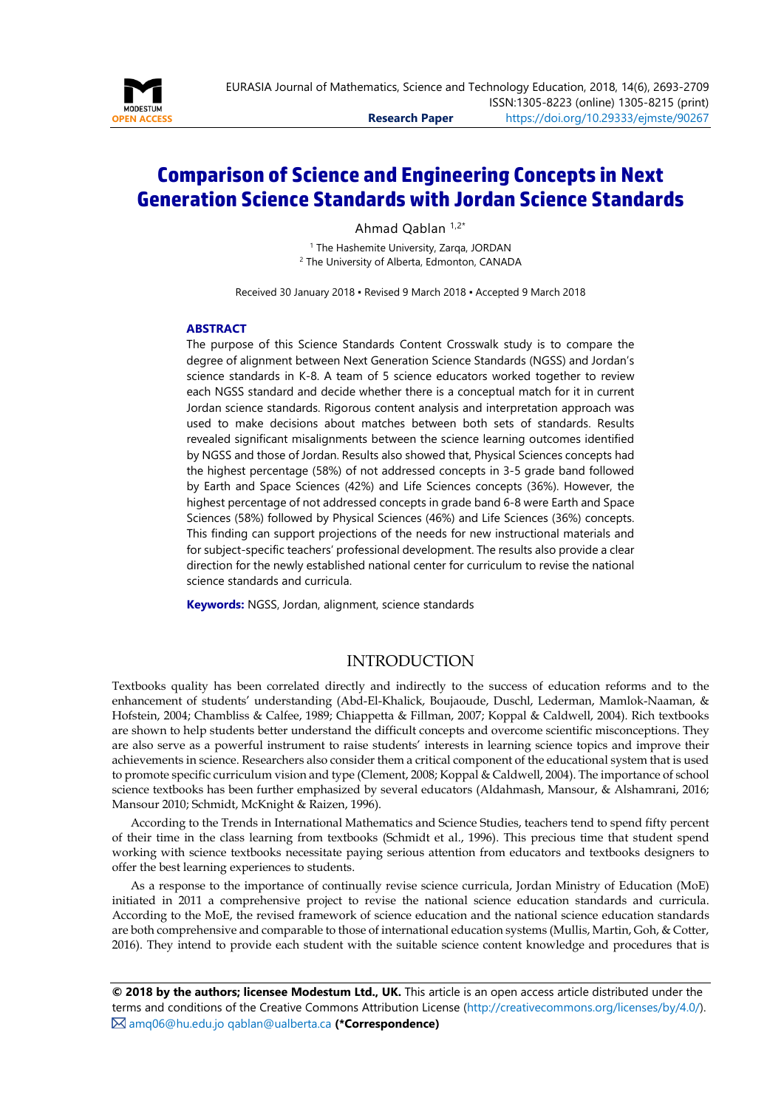

# **Comparison of Science and Engineering Concepts in Next Generation Science Standards with Jordan Science Standards**

Ahmad Qablan 1,2\*

<sup>1</sup> The Hashemite University, Zarqa, JORDAN <sup>2</sup> The University of Alberta, Edmonton, CANADA

Received 30 January 2018 ▪ Revised 9 March 2018 ▪ Accepted 9 March 2018

#### <span id="page-0-0"></span>**ABSTRACT**

The purpose of this Science Standards Content Crosswalk study is to compare the degree of alignment between Next Generation Science Standards (NGSS) and Jordan's science standards in K-8. A team of 5 science educators worked together to review each NGSS standard and decide whether there is a conceptual match for it in current Jordan science standards. Rigorous content analysis and interpretation approach was used to make decisions about matches between both sets of standards. Results revealed significant misalignments between the science learning outcomes identified by NGSS and those of Jordan. Results also showed that, Physical Sciences concepts had the highest percentage (58%) of not addressed concepts in 3-5 grade band followed by Earth and Space Sciences (42%) and Life Sciences concepts (36%). However, the highest percentage of not addressed concepts in grade band 6-8 were Earth and Space Sciences (58%) followed by Physical Sciences (46%) and Life Sciences (36%) concepts. This finding can support projections of the needs for new instructional materials and for subject-specific teachers' professional development. The results also provide a clear direction for the newly established national center for curriculum to revise the national science standards and curricula.

**Keywords:** NGSS, Jordan, alignment, science standards

# INTRODUCTION

Textbooks quality has been correlated directly and indirectly to the success of education reforms and to the enhancement of students' understanding (Abd-El-Khalick, Boujaoude, Duschl, Lederman, Mamlok-Naaman, & Hofstein, 2004; Chambliss & Calfee, 1989; Chiappetta & Fillman, 2007; Koppal & Caldwell, 2004). Rich textbooks are shown to help students better understand the difficult concepts and overcome scientific misconceptions. They are also serve as a powerful instrument to raise students' interests in learning science topics and improve their achievements in science. Researchers also consider them a critical component of the educational system that is used to promote specific curriculum vision and type (Clement, 2008; Koppal & Caldwell, 2004). The importance of school science textbooks has been further emphasized by several educators (Aldahmash, Mansour, & Alshamrani, 2016; Mansour 2010; Schmidt, McKnight & Raizen, 1996).

According to the Trends in International Mathematics and Science Studies, teachers tend to spend fifty percent of their time in the class learning from textbooks (Schmidt et al., 1996). This precious time that student spend working with science textbooks necessitate paying serious attention from educators and textbooks designers to offer the best learning experiences to students.

As a response to the importance of continually revise science curricula, Jordan Ministry of Education (MoE) initiated in 2011 a comprehensive project to revise the national science education standards and curricula. According to the MoE, the revised framework of science education and the national science education standards are both comprehensive and comparable to those of international education systems (Mullis, Martin, Goh, & Cotter, 2016). They intend to provide each student with the suitable science content knowledge and procedures that is

**© 2018 by the authors; licensee Modestum Ltd., UK.** This article is an open access article distributed under the terms and conditions of the Creative Commons Attribution License [\(http://creativecommons.org/licenses/by/4.0/\)](http://creativecommons.org/licenses/by/4.0/). [amq06@hu.edu.jo](mailto:amq06@hu.edu.jo) [qablan@ualberta.ca](mailto:qablan@ualberta.ca) **(\*Correspondence)**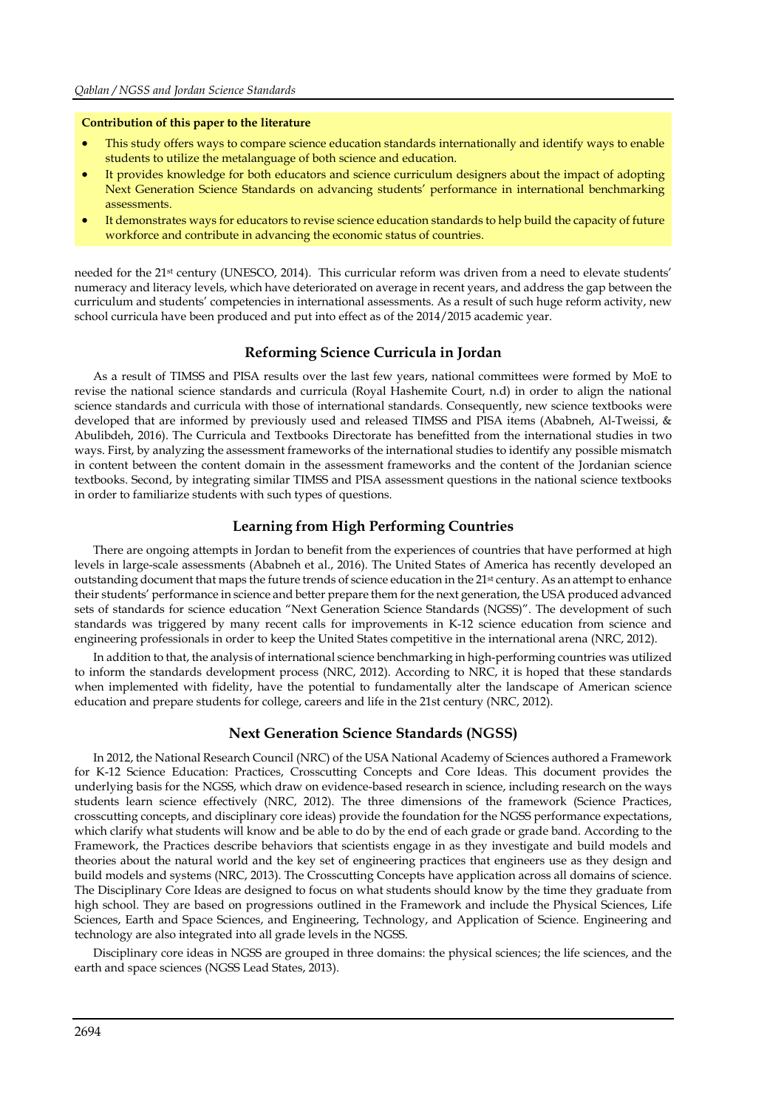#### **Contribution of this paper to the literature**

- This study offers ways to compare science education standards internationally and identify ways to enable students to utilize the metalanguage of both science and education.
- It provides knowledge for both educators and science curriculum designers about the impact of adopting Next Generation Science Standards on advancing students' performance in international benchmarking assessments.
- It demonstrates ways for educators to revise science education standards to help build the capacity of future workforce and contribute in advancing the economic status of countries.

needed for the 21st century (UNESCO, 2014). This curricular reform was driven from a need to elevate students' numeracy and literacy levels, which have deteriorated on average in recent years, and address the gap between the curriculum and students' competencies in international assessments. As a result of such huge reform activity, new school curricula have been produced and put into effect as of the 2014/2015 academic year.

#### **Reforming Science Curricula in Jordan**

As a result of TIMSS and PISA results over the last few years, national committees were formed by MoE to revise the national science standards and curricula (Royal Hashemite Court, n.d) in order to align the national science standards and curricula with those of international standards. Consequently, new science textbooks were developed that are informed by previously used and released TIMSS and PISA items (Ababneh, Al-Tweissi, & Abulibdeh, 2016). The Curricula and Textbooks Directorate has benefitted from the international studies in two ways. First, by analyzing the assessment frameworks of the international studies to identify any possible mismatch in content between the content domain in the assessment frameworks and the content of the Jordanian science textbooks. Second, by integrating similar TIMSS and PISA assessment questions in the national science textbooks in order to familiarize students with such types of questions.

#### **Learning from High Performing Countries**

There are ongoing attempts in Jordan to benefit from the experiences of countries that have performed at high levels in large-scale assessments (Ababneh et al., 2016). The United States of America has recently developed an outstanding document that maps the future trends of science education in the 21st century. As an attempt to enhance their students' performance in science and better prepare them for the next generation, the USA produced advanced sets of standards for science education "Next Generation Science Standards (NGSS)". The development of such standards was triggered by many recent calls for improvements in K-12 science education from science and engineering professionals in order to keep the United States competitive in the international arena (NRC, 2012).

In addition to that, the analysis of international science benchmarking in high-performing countries was utilized to inform the standards development process (NRC, 2012). According to NRC, it is hoped that these standards when implemented with fidelity, have the potential to fundamentally alter the landscape of American science education and prepare students for college, careers and life in the 21st century (NRC, 2012).

### **Next Generation Science Standards (NGSS)**

In 2012, the National Research Council (NRC) of the USA National Academy of Sciences authored a Framework for K-12 Science Education: Practices, Crosscutting Concepts and Core Ideas. This document provides the underlying basis for the NGSS, which draw on evidence-based research in science, including research on the ways students learn science effectively (NRC, 2012). The three dimensions of the framework (Science Practices, crosscutting concepts, and disciplinary core ideas) provide the foundation for the NGSS performance expectations, which clarify what students will know and be able to do by the end of each grade or grade band. According to the Framework, the Practices describe behaviors that scientists engage in as they investigate and build models and theories about the natural world and the key set of engineering practices that engineers use as they design and build models and systems (NRC, 2013). The Crosscutting Concepts have application across all domains of science. The Disciplinary Core Ideas are designed to focus on what students should know by the time they graduate from high school. They are based on progressions outlined in the Framework and include the Physical Sciences, Life Sciences, Earth and Space Sciences, and Engineering, Technology, and Application of Science. Engineering and technology are also integrated into all grade levels in the NGSS.

Disciplinary core ideas in NGSS are grouped in three domains: the physical sciences; the life sciences, and the earth and space sciences (NGSS Lead States, 2013).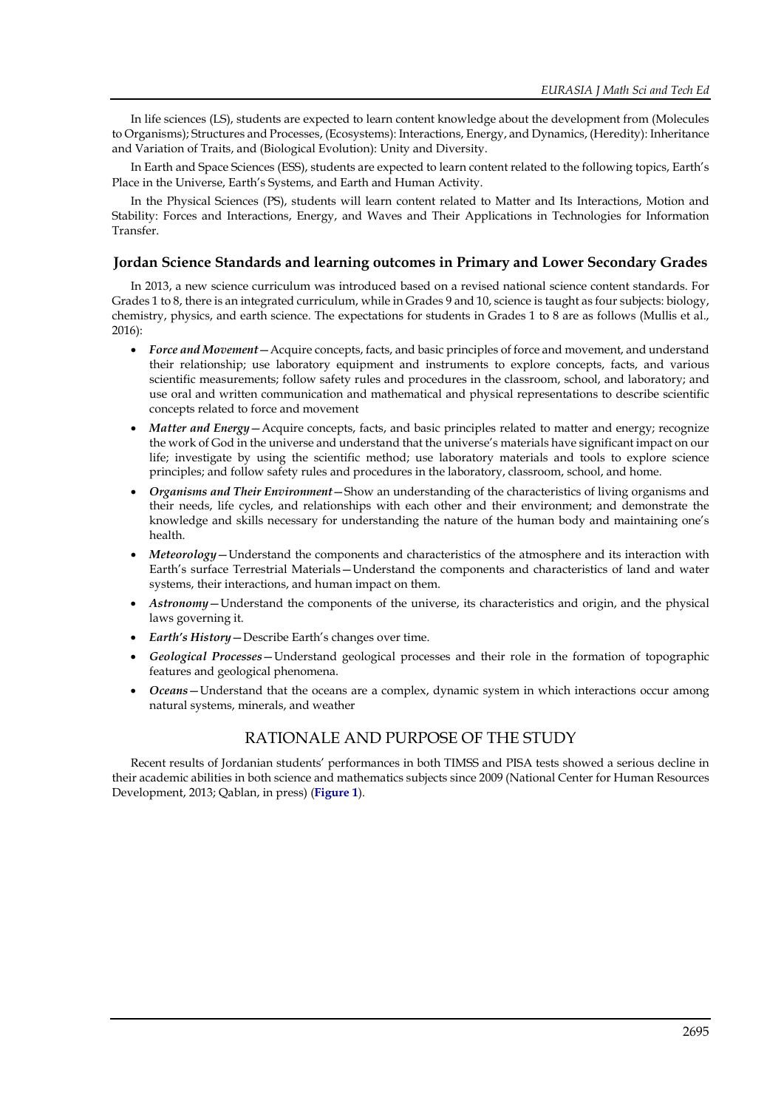In life sciences (LS), students are expected to learn content knowledge about the development from (Molecules to Organisms); Structures and Processes, (Ecosystems): Interactions, Energy, and Dynamics, (Heredity): Inheritance and Variation of Traits, and (Biological Evolution): Unity and Diversity.

In Earth and Space Sciences (ESS), students are expected to learn content related to the following topics, Earth's Place in the Universe, Earth's Systems, and Earth and Human Activity.

In the Physical Sciences (PS), students will learn content related to Matter and Its Interactions, Motion and Stability: Forces and Interactions, Energy, and Waves and Their Applications in Technologies for Information Transfer.

### **Jordan Science Standards and learning outcomes in Primary and Lower Secondary Grades**

In 2013, a new science curriculum was introduced based on a revised national science content standards. For Grades 1 to 8, there is an integrated curriculum, while in Grades 9 and 10, science is taught as four subjects: biology, chemistry, physics, and earth science. The expectations for students in Grades 1 to 8 are as follows (Mullis et al., 2016):

- *Force and Movement*—Acquire concepts, facts, and basic principles of force and movement, and understand their relationship; use laboratory equipment and instruments to explore concepts, facts, and various scientific measurements; follow safety rules and procedures in the classroom, school, and laboratory; and use oral and written communication and mathematical and physical representations to describe scientific concepts related to force and movement
- *Matter and Energy*—Acquire concepts, facts, and basic principles related to matter and energy; recognize the work of God in the universe and understand that the universe's materials have significant impact on our life; investigate by using the scientific method; use laboratory materials and tools to explore science principles; and follow safety rules and procedures in the laboratory, classroom, school, and home.
- *Organisms and Their Environment*—Show an understanding of the characteristics of living organisms and their needs, life cycles, and relationships with each other and their environment; and demonstrate the knowledge and skills necessary for understanding the nature of the human body and maintaining one's health.
- *Meteorology*—Understand the components and characteristics of the atmosphere and its interaction with Earth's surface Terrestrial Materials—Understand the components and characteristics of land and water systems, their interactions, and human impact on them.
- *Astronomy*—Understand the components of the universe, its characteristics and origin, and the physical laws governing it.
- *Earth's History*—Describe Earth's changes over time.
- *Geological Processes*—Understand geological processes and their role in the formation of topographic features and geological phenomena.
- *Oceans*—Understand that the oceans are a complex, dynamic system in which interactions occur among natural systems, minerals, and weather

# RATIONALE AND PURPOSE OF THE STUDY

Recent results of Jordanian students' performances in both TIMSS and PISA tests showed a serious decline in their academic abilities in both science and mathematics subjects since 2009 (National Center for Human Resources Development, 2013; Qablan, in press) (**Figure 1**).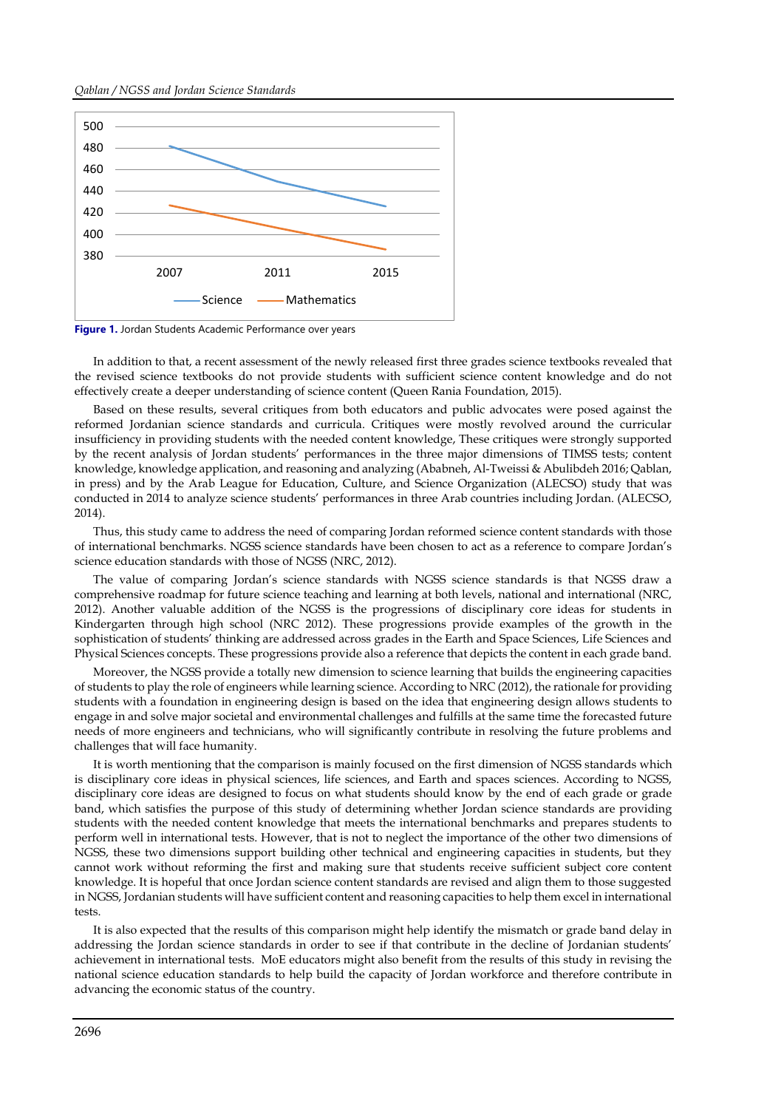

**Figure 1.** Jordan Students Academic Performance over years

In addition to that, a recent assessment of the newly released first three grades science textbooks revealed that the revised science textbooks do not provide students with sufficient science content knowledge and do not effectively create a deeper understanding of science content (Queen Rania Foundation, 2015).

Based on these results, several critiques from both educators and public advocates were posed against the reformed Jordanian science standards and curricula. Critiques were mostly revolved around the curricular insufficiency in providing students with the needed content knowledge, These critiques were strongly supported by the recent analysis of Jordan students' performances in the three major dimensions of TIMSS tests; content knowledge, knowledge application, and reasoning and analyzing (Ababneh, Al-Tweissi & Abulibdeh 2016; Qablan, in press) and by the Arab League for Education, Culture, and Science Organization (ALECSO) study that was conducted in 2014 to analyze science students' performances in three Arab countries including Jordan. (ALECSO, 2014).

Thus, this study came to address the need of comparing Jordan reformed science content standards with those of international benchmarks. NGSS science standards have been chosen to act as a reference to compare Jordan's science education standards with those of NGSS (NRC, 2012).

The value of comparing Jordan's science standards with NGSS science standards is that NGSS draw a comprehensive roadmap for future science teaching and learning at both levels, national and international (NRC, 2012). Another valuable addition of the NGSS is the progressions of disciplinary core ideas for students in Kindergarten through high school (NRC 2012). These progressions provide examples of the growth in the sophistication of students' thinking are addressed across grades in the Earth and Space Sciences, Life Sciences and Physical Sciences concepts. These progressions provide also a reference that depicts the content in each grade band.

Moreover, the NGSS provide a totally new dimension to science learning that builds the engineering capacities of students to play the role of engineers while learning science. According to NRC (2012), the rationale for providing students with a foundation in engineering design is based on the idea that engineering design allows students to engage in and solve major societal and environmental challenges and fulfills at the same time the forecasted future needs of more engineers and technicians, who will significantly contribute in resolving the future problems and challenges that will face humanity.

It is worth mentioning that the comparison is mainly focused on the first dimension of NGSS standards which is disciplinary core ideas in physical sciences, life sciences, and Earth and spaces sciences. According to NGSS, disciplinary core ideas are designed to focus on what students should know by the end of each grade or grade band, which satisfies the purpose of this study of determining whether Jordan science standards are providing students with the needed content knowledge that meets the international benchmarks and prepares students to perform well in international tests. However, that is not to neglect the importance of the other two dimensions of NGSS, these two dimensions support building other technical and engineering capacities in students, but they cannot work without reforming the first and making sure that students receive sufficient subject core content knowledge. It is hopeful that once Jordan science content standards are revised and align them to those suggested in NGSS, Jordanian students will have sufficient content and reasoning capacities to help them excel in international tests.

It is also expected that the results of this comparison might help identify the mismatch or grade band delay in addressing the Jordan science standards in order to see if that contribute in the decline of Jordanian students' achievement in international tests. MoE educators might also benefit from the results of this study in revising the national science education standards to help build the capacity of Jordan workforce and therefore contribute in advancing the economic status of the country.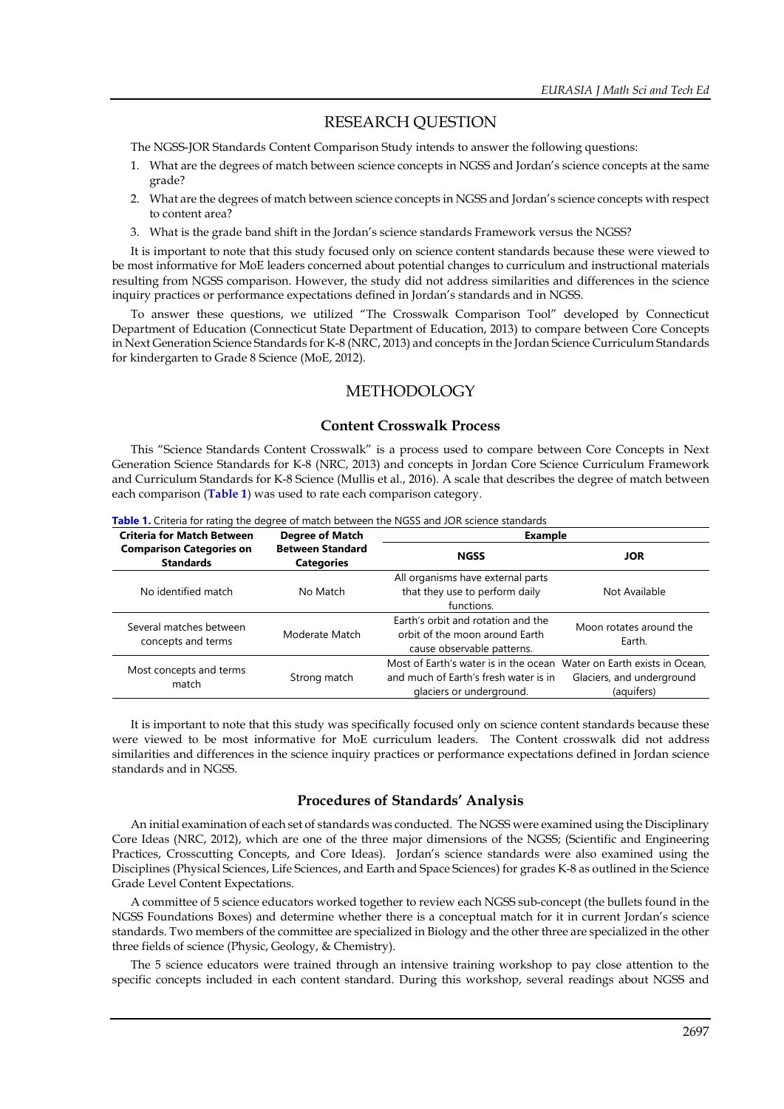# RESEARCH QUESTION

The NGSS-JOR Standards Content Comparison Study intends to answer the following questions:

- 1. What are the degrees of match between science concepts in NGSS and Jordan's science concepts at the same grade?
- 2. What are the degrees of match between science concepts in NGSS and Jordan's science concepts with respect to content area?
- 3. What is the grade band shift in the Jordan's science standards Framework versus the NGSS?

It is important to note that this study focused only on science content standards because these were viewed to be most informative for MoE leaders concerned about potential changes to curriculum and instructional materials resulting from NGSS comparison. However, the study did not address similarities and differences in the science inquiry practices or performance expectations defined in Jordan's standards and in NGSS.

To answer these questions, we utilized "The Crosswalk Comparison Tool" developed by Connecticut Department of Education (Connecticut State Department of Education, 2013) to compare between Core Concepts in Next Generation Science Standards for K-8 (NRC, 2013) and concepts in the Jordan Science Curriculum Standards for kindergarten to Grade 8 Science (MoE, 2012).

# METHODOLOGY

### **Content Crosswalk Process**

This "Science Standards Content Crosswalk" is a process used to compare between Core Concepts in Next Generation Science Standards for K-8 (NRC, 2013) and concepts in Jordan Core Science Curriculum Framework and Curriculum Standards for K-8 Science (Mullis et al., 2016). A scale that describes the degree of match between each comparison (**Table 1**) was used to rate each comparison category.

| <b>Criteria for Match Between</b>                   | <b>Degree of Match</b>                       | <b>Example</b>                                                                                                                             |                                         |  |  |
|-----------------------------------------------------|----------------------------------------------|--------------------------------------------------------------------------------------------------------------------------------------------|-----------------------------------------|--|--|
| <b>Comparison Categories on</b><br><b>Standards</b> | <b>Between Standard</b><br><b>Categories</b> | <b>NGSS</b>                                                                                                                                | <b>JOR</b>                              |  |  |
| No identified match                                 | No Match                                     | All organisms have external parts<br>that they use to perform daily<br>functions.                                                          | Not Available                           |  |  |
| Several matches between<br>concepts and terms       | Moderate Match                               | Earth's orbit and rotation and the<br>orbit of the moon around Earth<br>cause observable patterns.                                         | Moon rotates around the<br>Earth.       |  |  |
| Most concepts and terms<br>match                    | Strong match                                 | Most of Earth's water is in the ocean Water on Earth exists in Ocean,<br>and much of Earth's fresh water is in<br>glaciers or underground. | Glaciers, and underground<br>(aquifers) |  |  |

**Table 1.** Criteria for rating the degree of match between the NGSS and JOR science standards

It is important to note that this study was specifically focused only on science content standards because these were viewed to be most informative for MoE curriculum leaders. The Content crosswalk did not address similarities and differences in the science inquiry practices or performance expectations defined in Jordan science standards and in NGSS.

# **Procedures of Standards' Analysis**

An initial examination of each set of standards was conducted. The NGSS were examined using the Disciplinary Core Ideas (NRC, 2012), which are one of the three major dimensions of the NGSS; (Scientific and Engineering Practices, Crosscutting Concepts, and Core Ideas). Jordan's science standards were also examined using the Disciplines (Physical Sciences, Life Sciences, and Earth and Space Sciences) for grades K-8 as outlined in the Science Grade Level Content Expectations.

A committee of 5 science educators worked together to review each NGSS sub-concept (the bullets found in the NGSS Foundations Boxes) and determine whether there is a conceptual match for it in current Jordan's science standards. Two members of the committee are specialized in Biology and the other three are specialized in the other three fields of science (Physic, Geology, & Chemistry).

The 5 science educators were trained through an intensive training workshop to pay close attention to the specific concepts included in each content standard. During this workshop, several readings about NGSS and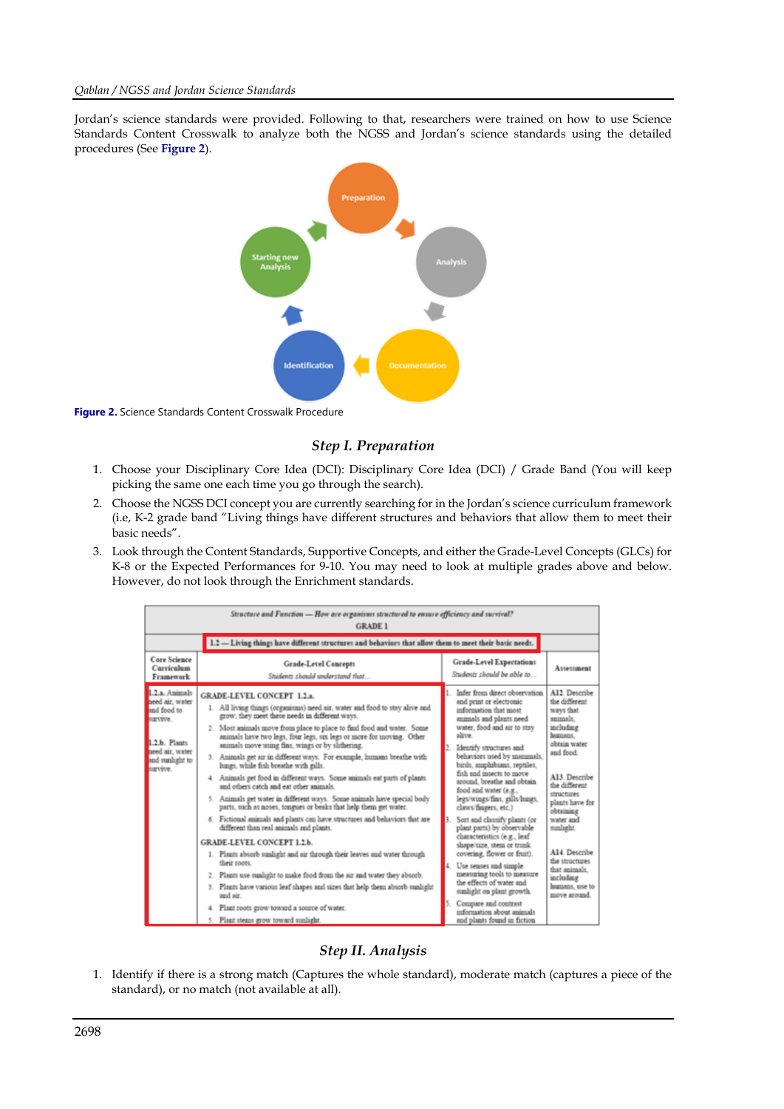Jordan's science standards were provided. Following to that, researchers were trained on how to use Science Standards Content Crosswalk to analyze both the NGSS and Jordan's science standards using the detailed procedures (See **Figure 2**).



**Figure 2.** Science Standards Content Crosswalk Procedure

# *Step I. Preparation*

- 1. Choose your Disciplinary Core Idea (DCI): Disciplinary Core Idea (DCI) / Grade Band (You will keep picking the same one each time you go through the search).
- 2. Choose the NGSS DCI concept you are currently searching for in the Jordan's science curriculum framework (i.e, K-2 grade band "Living things have different structures and behaviors that allow them to meet their basic needs".
- 3. Look through the Content Standards, Supportive Concepts, and either the Grade-Level Concepts (GLCs) for K-8 or the Expected Performances for 9-10. You may need to look at multiple grades above and below. However, do not look through the Enrichment standards.

| Structure and Function - How are organisms structured to ensure efficiency and survival?<br><b>GRADE 1</b>                      |                                                                                                                                                                                                                                                                                                                                                                                                                                                                                                                                                                                                                                                                                                                                                                                                                                                                                                                                                                                                                                                                                                                                                                                                                                                                                         |                                                                                                                                                                                                                                                                                                                                                                                                                                                                                                                                                                                                                                                                                                                                                                         |                                                                                                                                                                                                                                                                                                                     |  |  |  |  |  |  |
|---------------------------------------------------------------------------------------------------------------------------------|-----------------------------------------------------------------------------------------------------------------------------------------------------------------------------------------------------------------------------------------------------------------------------------------------------------------------------------------------------------------------------------------------------------------------------------------------------------------------------------------------------------------------------------------------------------------------------------------------------------------------------------------------------------------------------------------------------------------------------------------------------------------------------------------------------------------------------------------------------------------------------------------------------------------------------------------------------------------------------------------------------------------------------------------------------------------------------------------------------------------------------------------------------------------------------------------------------------------------------------------------------------------------------------------|-------------------------------------------------------------------------------------------------------------------------------------------------------------------------------------------------------------------------------------------------------------------------------------------------------------------------------------------------------------------------------------------------------------------------------------------------------------------------------------------------------------------------------------------------------------------------------------------------------------------------------------------------------------------------------------------------------------------------------------------------------------------------|---------------------------------------------------------------------------------------------------------------------------------------------------------------------------------------------------------------------------------------------------------------------------------------------------------------------|--|--|--|--|--|--|
|                                                                                                                                 | 1.2 - Living things have different structures and behaviors that allow them to meet their basic needs.                                                                                                                                                                                                                                                                                                                                                                                                                                                                                                                                                                                                                                                                                                                                                                                                                                                                                                                                                                                                                                                                                                                                                                                  |                                                                                                                                                                                                                                                                                                                                                                                                                                                                                                                                                                                                                                                                                                                                                                         |                                                                                                                                                                                                                                                                                                                     |  |  |  |  |  |  |
| Core Science<br>Curriculum<br>Framework                                                                                         | <b>Grade-Level Concepts</b><br>Students should understand that                                                                                                                                                                                                                                                                                                                                                                                                                                                                                                                                                                                                                                                                                                                                                                                                                                                                                                                                                                                                                                                                                                                                                                                                                          | <b>Grade-Level Expectations</b><br>Students should be able to                                                                                                                                                                                                                                                                                                                                                                                                                                                                                                                                                                                                                                                                                                           | Assessment                                                                                                                                                                                                                                                                                                          |  |  |  |  |  |  |
| 1.2.a. Animals<br>need air, water<br>and food to<br>survive.<br>1.2.b. Plants<br>need air, water<br>and sunlight to<br>survive. | <b>GRADE-LEVEL CONCEPT 1.2.a.</b><br>1. All living things (organisms) need air, water and food to stay alive and<br>grow; they meet these needs in different ways.<br>2. Most animals move from place to place to find food and water. Some<br>animals have two legs, four legs, six legs or more for moving. Other<br>animals move using fins, wings or by slithering.<br>3. Animals get air in different ways. For example, humans breathe with<br>lungs, while fish breathe with gills.<br>4. Animals get food in different ways. Some animals eat parts of plants<br>and others catch and eat other animals.<br>5. Animals get water in different ways. Some animals have special body<br>parts, such as noses, tongues or beaks that help them get water.<br>6. Fictional animals and plants can have structures and behaviors that are<br>different than real animals and plants.<br><b>GRADE-LEVEL CONCEPT 1.2.b.</b><br>1. Plants absorb sunlight and air through their leaves and water through<br>their roots.<br>2. Plants use sunlight to make food from the air and water they absorb.<br>3. Plants have various leaf shapes and sizes that help them absorb sunlight<br>and sir.<br>4. Plant roots grow toward a source of water.<br>5. Plant stems grow toward sunlight. | Infer from direct observation<br>and print or electronic<br>information that most<br>animals and plants need<br>water, food and air to stay<br>alive.<br>Identify structures and<br>behaviors used by manimals.<br>birds, amphibians, reptiles,<br>fish and intects to move<br>around, breathe and obtain<br>food and water (e.g.,<br>legs/wings/fins, gills/lungs,<br>claws/fingers, etc.)<br>Sort and classify plants (or<br>3.<br>plant parts) by observable<br>characteristics (e.g., leaf<br>shape/size, stem or trunk<br>covering, flower or fruit).<br>4. Use senses and simple<br>measuring tools to measure<br>the effects of water and<br>sunlight on plant growth.<br>5.<br>Compare and contrast<br>information about animals<br>and plants found in fiction | A12 Describe<br>the different<br>ways that<br>animals<br>including<br>humans.<br>obtain water<br>and food<br>A13 Describe<br>the different<br>structures<br>plants have for<br>obtaining<br>water and<br>sunlight.<br>A14 Detenbe<br>the structures<br>that animals.<br>including<br>humans, use to<br>move around. |  |  |  |  |  |  |

*Step II. Analysis*

1. Identify if there is a strong match (Captures the whole standard), moderate match (captures a piece of the standard), or no match (not available at all).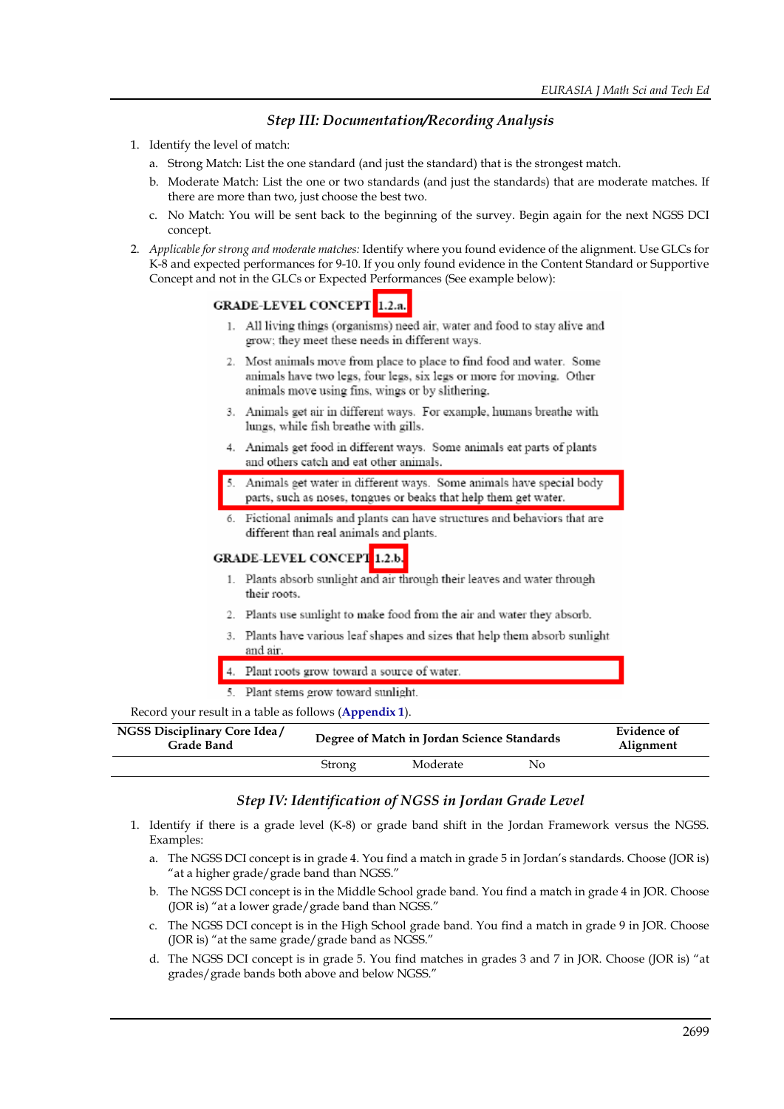# *Step III: Documentation/Recording Analysis*

- 1. Identify the level of match:
	- a. Strong Match: List the one standard (and just the standard) that is the strongest match.
	- b. Moderate Match: List the one or two standards (and just the standards) that are moderate matches. If there are more than two, just choose the best two.
	- c. No Match: You will be sent back to the beginning of the survey. Begin again for the next NGSS DCI concept.
- 2. *Applicable for strong and moderate matches:* Identify where you found evidence of the alignment. Use GLCs for K-8 and expected performances for 9-10. If you only found evidence in the Content Standard or Supportive Concept and not in the GLCs or Expected Performances (See example below):

#### **GRADE-LEVEL CONCEPT**  $.2.a.$

- 1. All living things (organisms) need air, water and food to stay alive and grow; they meet these needs in different ways.
- 2. Most animals move from place to place to find food and water. Some animals have two legs, four legs, six legs or more for moving. Other animals move using fins, wings or by slithering.
- 3. Animals get air in different ways. For example, humans breathe with lungs, while fish breathe with gills.
- 4. Animals get food in different ways. Some animals eat parts of plants and others catch and eat other animals.
- 5. Animals get water in different ways. Some animals have special body parts, such as noses, tongues or beaks that help them get water.
- Fictional animals and plants can have structures and behaviors that are 6. different than real animals and plants.

# **GRADE-LEVEL CONCEPT 1.2.b.**

- 1. Plants absorb sunlight and air through their leaves and water through their roots.
- 2. Plants use sunlight to make food from the air and water they absorb.
- 3. Plants have various leaf shapes and sizes that help them absorb sunlight and air
- $\overline{4}$ . Plant roots grow toward a source of water.
- Plant stems grow toward sunlight. 5.

Record your result in a table as follows (**Appendix 1**).

| NGSS Disciplinary Core Idea /<br>Grade Band | Degree of Match in Jordan Science Standards |          |     | Evidence of<br>Alignment |
|---------------------------------------------|---------------------------------------------|----------|-----|--------------------------|
|                                             | Strong                                      | Moderate | No. |                          |

# *Step IV: Identification of NGSS in Jordan Grade Level*

- 1. Identify if there is a grade level (K-8) or grade band shift in the Jordan Framework versus the NGSS. Examples:
	- a. The NGSS DCI concept is in grade 4. You find a match in grade 5 in Jordan's standards. Choose (JOR is) "at a higher grade/grade band than NGSS."
	- b. The NGSS DCI concept is in the Middle School grade band. You find a match in grade 4 in JOR. Choose (JOR is) "at a lower grade/grade band than NGSS."
	- c. The NGSS DCI concept is in the High School grade band. You find a match in grade 9 in JOR. Choose (JOR is) "at the same grade/grade band as NGSS."
	- d. The NGSS DCI concept is in grade 5. You find matches in grades 3 and 7 in JOR. Choose (JOR is) "at grades/grade bands both above and below NGSS."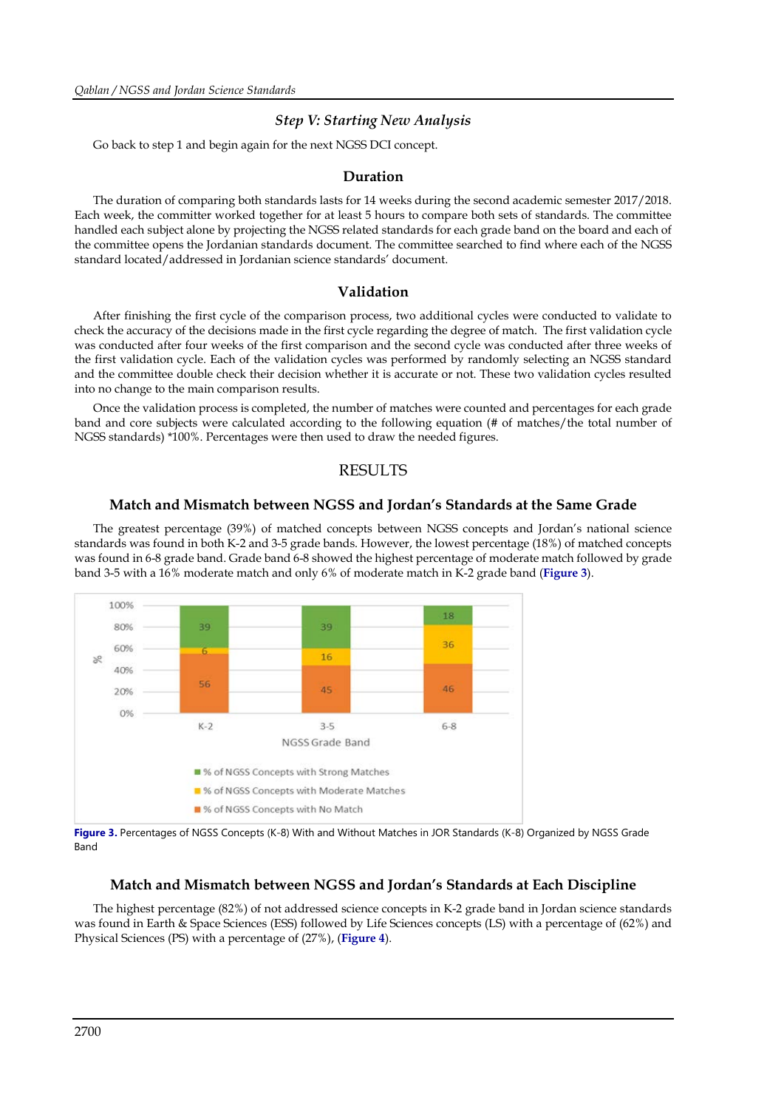### *Step V: Starting New Analysis*

Go back to step 1 and begin again for the next NGSS DCI concept.

#### **Duration**

The duration of comparing both standards lasts for 14 weeks during the second academic semester 2017/2018. Each week, the committer worked together for at least 5 hours to compare both sets of standards. The committee handled each subject alone by projecting the NGSS related standards for each grade band on the board and each of the committee opens the Jordanian standards document. The committee searched to find where each of the NGSS standard located/addressed in Jordanian science standards' document.

#### **Validation**

After finishing the first cycle of the comparison process, two additional cycles were conducted to validate to check the accuracy of the decisions made in the first cycle regarding the degree of match. The first validation cycle was conducted after four weeks of the first comparison and the second cycle was conducted after three weeks of the first validation cycle. Each of the validation cycles was performed by randomly selecting an NGSS standard and the committee double check their decision whether it is accurate or not. These two validation cycles resulted into no change to the main comparison results.

Once the validation process is completed, the number of matches were counted and percentages for each grade band and core subjects were calculated according to the following equation (# of matches/the total number of NGSS standards) \*100%. Percentages were then used to draw the needed figures.

# RESULTS

#### **Match and Mismatch between NGSS and Jordan's Standards at the Same Grade**

The greatest percentage (39%) of matched concepts between NGSS concepts and Jordan's national science standards was found in both K-2 and 3-5 grade bands. However, the lowest percentage (18%) of matched concepts was found in 6-8 grade band. Grade band 6-8 showed the highest percentage of moderate match followed by grade band 3-5 with a 16% moderate match and only 6% of moderate match in K-2 grade band (**Figure 3**).



**Figure 3.** Percentages of NGSS Concepts (K-8) With and Without Matches in JOR Standards (K-8) Organized by NGSS Grade Band

#### **Match and Mismatch between NGSS and Jordan's Standards at Each Discipline**

The highest percentage (82%) of not addressed science concepts in K-2 grade band in Jordan science standards was found in Earth & Space Sciences (ESS) followed by Life Sciences concepts (LS) with a percentage of (62%) and Physical Sciences (PS) with a percentage of (27%), (**Figure 4**).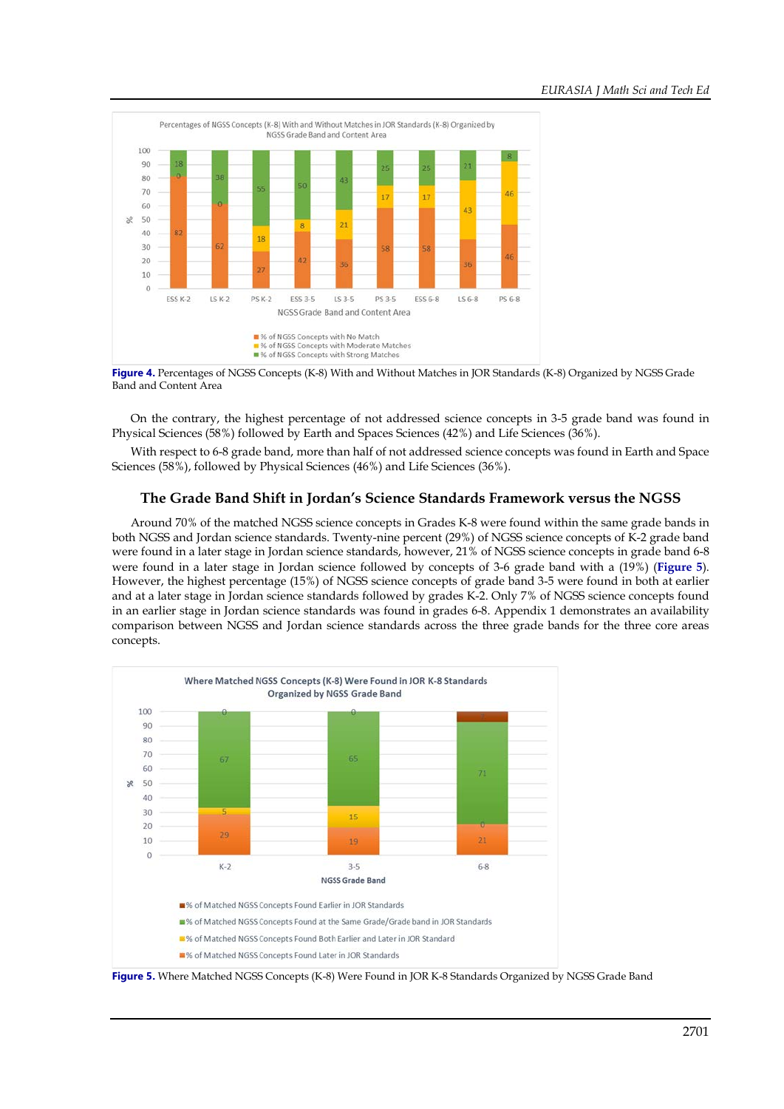

**Figure 4.** Percentages of NGSS Concepts (K-8) With and Without Matches in JOR Standards (K-8) Organized by NGSS Grade Band and Content Area

On the contrary, the highest percentage of not addressed science concepts in 3-5 grade band was found in Physical Sciences (58%) followed by Earth and Spaces Sciences (42%) and Life Sciences (36%).

With respect to 6-8 grade band, more than half of not addressed science concepts was found in Earth and Space Sciences (58%), followed by Physical Sciences (46%) and Life Sciences (36%).

# **The Grade Band Shift in Jordan's Science Standards Framework versus the NGSS**

Around 70% of the matched NGSS science concepts in Grades K-8 were found within the same grade bands in both NGSS and Jordan science standards. Twenty-nine percent (29%) of NGSS science concepts of K-2 grade band were found in a later stage in Jordan science standards, however, 21% of NGSS science concepts in grade band 6-8 were found in a later stage in Jordan science followed by concepts of 3-6 grade band with a (19%) (**Figure 5**). However, the highest percentage (15%) of NGSS science concepts of grade band 3-5 were found in both at earlier and at a later stage in Jordan science standards followed by grades K-2. Only 7% of NGSS science concepts found in an earlier stage in Jordan science standards was found in grades 6-8. Appendix 1 demonstrates an availability comparison between NGSS and Jordan science standards across the three grade bands for the three core areas concepts.



**Figure 5.** Where Matched NGSS Concepts (K-8) Were Found in JOR K-8 Standards Organized by NGSS Grade Band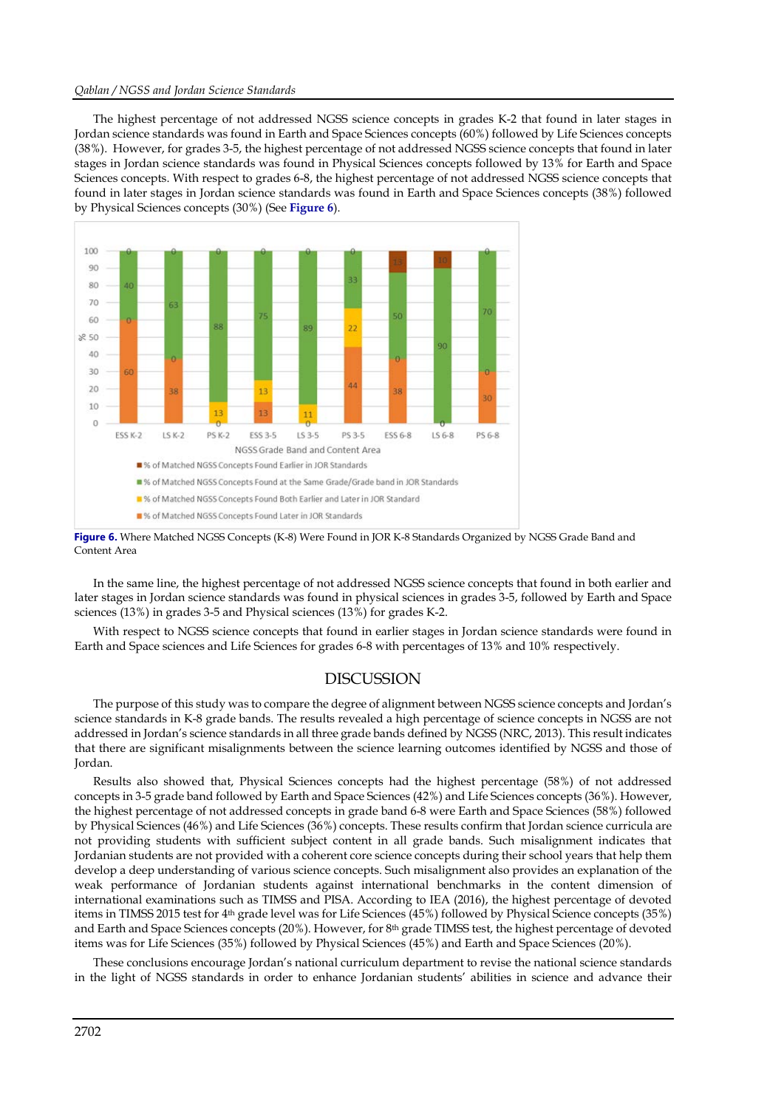#### *Qablan / NGSS and Jordan Science Standards*

The highest percentage of not addressed NGSS science concepts in grades K-2 that found in later stages in Jordan science standards was found in Earth and Space Sciences concepts (60%) followed by Life Sciences concepts (38%). However, for grades 3-5, the highest percentage of not addressed NGSS science concepts that found in later stages in Jordan science standards was found in Physical Sciences concepts followed by 13% for Earth and Space Sciences concepts. With respect to grades 6-8, the highest percentage of not addressed NGSS science concepts that found in later stages in Jordan science standards was found in Earth and Space Sciences concepts (38%) followed by Physical Sciences concepts (30%) (See **Figure 6**).



**Figure 6.** Where Matched NGSS Concepts (K-8) Were Found in JOR K-8 Standards Organized by NGSS Grade Band and Content Area

In the same line, the highest percentage of not addressed NGSS science concepts that found in both earlier and later stages in Jordan science standards was found in physical sciences in grades 3-5, followed by Earth and Space sciences (13%) in grades 3-5 and Physical sciences (13%) for grades K-2.

With respect to NGSS science concepts that found in earlier stages in Jordan science standards were found in Earth and Space sciences and Life Sciences for grades 6-8 with percentages of 13% and 10% respectively.

# DISCUSSION

The purpose of this study was to compare the degree of alignment between NGSS science concepts and Jordan's science standards in K-8 grade bands. The results revealed a high percentage of science concepts in NGSS are not addressed in Jordan's science standards in all three grade bands defined by NGSS (NRC, 2013). This result indicates that there are significant misalignments between the science learning outcomes identified by NGSS and those of Jordan.

Results also showed that, Physical Sciences concepts had the highest percentage (58%) of not addressed concepts in 3-5 grade band followed by Earth and Space Sciences (42%) and Life Sciences concepts (36%). However, the highest percentage of not addressed concepts in grade band 6-8 were Earth and Space Sciences (58%) followed by Physical Sciences (46%) and Life Sciences (36%) concepts. These results confirm that Jordan science curricula are not providing students with sufficient subject content in all grade bands. Such misalignment indicates that Jordanian students are not provided with a coherent core science concepts during their school years that help them develop a deep understanding of various science concepts. Such misalignment also provides an explanation of the weak performance of Jordanian students against international benchmarks in the content dimension of international examinations such as TIMSS and PISA. According to IEA (2016), the highest percentage of devoted items in TIMSS 2015 test for 4th grade level was for Life Sciences (45%) followed by Physical Science concepts (35%) and Earth and Space Sciences concepts (20%). However, for 8<sup>th</sup> grade TIMSS test, the highest percentage of devoted items was for Life Sciences (35%) followed by Physical Sciences (45%) and Earth and Space Sciences (20%).

These conclusions encourage Jordan's national curriculum department to revise the national science standards in the light of NGSS standards in order to enhance Jordanian students' abilities in science and advance their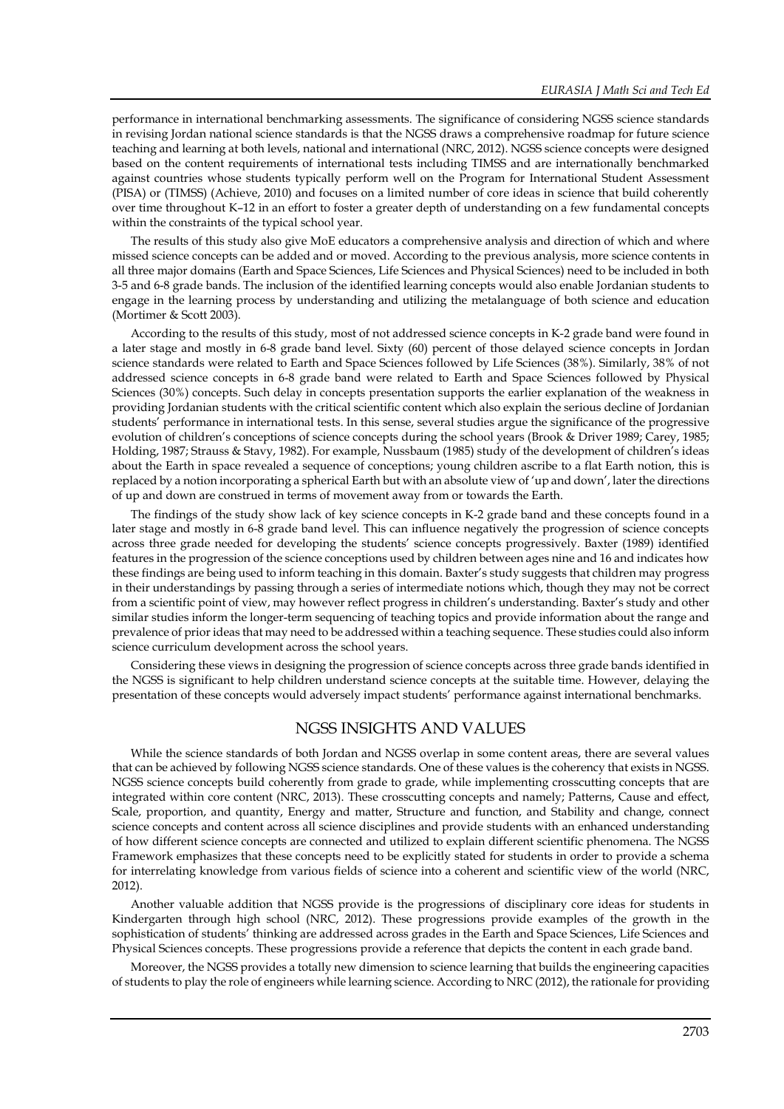performance in international benchmarking assessments. The significance of considering NGSS science standards in revising Jordan national science standards is that the NGSS draws a comprehensive roadmap for future science teaching and learning at both levels, national and international (NRC, 2012). NGSS science concepts were designed based on the content requirements of international tests including TIMSS and are internationally benchmarked against countries whose students typically perform well on the Program for International Student Assessment (PISA) or (TIMSS) (Achieve, 2010) and focuses on a limited number of core ideas in science that build coherently over time throughout K–12 in an effort to foster a greater depth of understanding on a few fundamental concepts within the constraints of the typical school year.

The results of this study also give MoE educators a comprehensive analysis and direction of which and where missed science concepts can be added and or moved. According to the previous analysis, more science contents in all three major domains (Earth and Space Sciences, Life Sciences and Physical Sciences) need to be included in both 3-5 and 6-8 grade bands. The inclusion of the identified learning concepts would also enable Jordanian students to engage in the learning process by understanding and utilizing the metalanguage of both science and education (Mortimer & Scott 2003).

According to the results of this study, most of not addressed science concepts in K-2 grade band were found in a later stage and mostly in 6-8 grade band level. Sixty (60) percent of those delayed science concepts in Jordan science standards were related to Earth and Space Sciences followed by Life Sciences (38%). Similarly, 38% of not addressed science concepts in 6-8 grade band were related to Earth and Space Sciences followed by Physical Sciences (30%) concepts. Such delay in concepts presentation supports the earlier explanation of the weakness in providing Jordanian students with the critical scientific content which also explain the serious decline of Jordanian students' performance in international tests. In this sense, several studies argue the significance of the progressive evolution of children's conceptions of science concepts during the school years (Brook & Driver 1989; Carey, 1985; Holding, 1987; Strauss & Stavy, 1982). For example, Nussbaum (1985) study of the development of children's ideas about the Earth in space revealed a sequence of conceptions; young children ascribe to a flat Earth notion, this is replaced by a notion incorporating a spherical Earth but with an absolute view of 'up and down', later the directions of up and down are construed in terms of movement away from or towards the Earth.

The findings of the study show lack of key science concepts in K-2 grade band and these concepts found in a later stage and mostly in 6-8 grade band level. This can influence negatively the progression of science concepts across three grade needed for developing the students' science concepts progressively. Baxter (1989) identified features in the progression of the science conceptions used by children between ages nine and 16 and indicates how these findings are being used to inform teaching in this domain. Baxter's study suggests that children may progress in their understandings by passing through a series of intermediate notions which, though they may not be correct from a scientific point of view, may however reflect progress in children's understanding. Baxter's study and other similar studies inform the longer-term sequencing of teaching topics and provide information about the range and prevalence of prior ideas that may need to be addressed within a teaching sequence. These studies could also inform science curriculum development across the school years.

Considering these views in designing the progression of science concepts across three grade bands identified in the NGSS is significant to help children understand science concepts at the suitable time. However, delaying the presentation of these concepts would adversely impact students' performance against international benchmarks.

# NGSS INSIGHTS AND VALUES

While the science standards of both Jordan and NGSS overlap in some content areas, there are several values that can be achieved by following NGSS science standards. One of these values is the coherency that exists in NGSS. NGSS science concepts build coherently from grade to grade, while implementing crosscutting concepts that are integrated within core content (NRC, 2013). These crosscutting concepts and namely; Patterns, Cause and effect, Scale, proportion, and quantity, Energy and matter, Structure and function, and Stability and change, connect science concepts and content across all science disciplines and provide students with an enhanced understanding of how different science concepts are connected and utilized to explain different scientific phenomena. The NGSS Framework emphasizes that these concepts need to be explicitly stated for students in order to provide a schema for interrelating knowledge from various fields of science into a coherent and scientific view of the world (NRC, 2012).

Another valuable addition that NGSS provide is the progressions of disciplinary core ideas for students in Kindergarten through high school (NRC, 2012). These progressions provide examples of the growth in the sophistication of students' thinking are addressed across grades in the Earth and Space Sciences, Life Sciences and Physical Sciences concepts. These progressions provide a reference that depicts the content in each grade band.

Moreover, the NGSS provides a totally new dimension to science learning that builds the engineering capacities of students to play the role of engineers while learning science. According to NRC (2012), the rationale for providing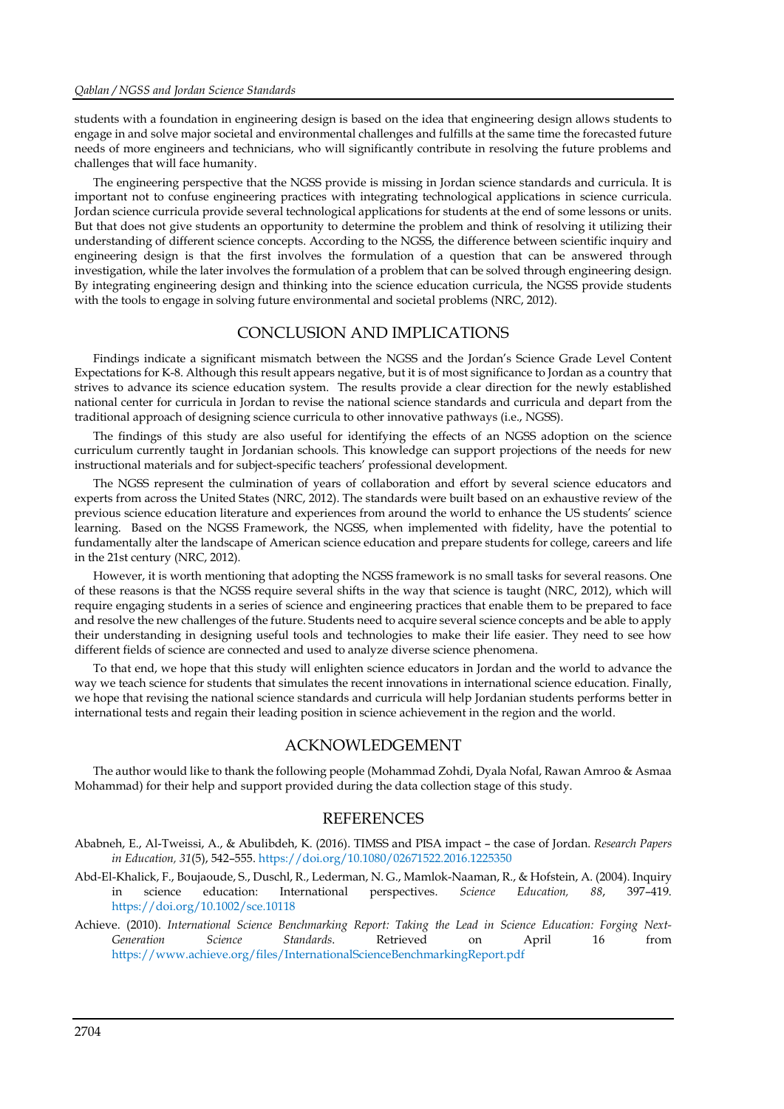students with a foundation in engineering design is based on the idea that engineering design allows students to engage in and solve major societal and environmental challenges and fulfills at the same time the forecasted future needs of more engineers and technicians, who will significantly contribute in resolving the future problems and challenges that will face humanity.

The engineering perspective that the NGSS provide is missing in Jordan science standards and curricula. It is important not to confuse engineering practices with integrating technological applications in science curricula. Jordan science curricula provide several technological applications for students at the end of some lessons or units. But that does not give students an opportunity to determine the problem and think of resolving it utilizing their understanding of different science concepts. According to the NGSS, the difference between scientific inquiry and engineering design is that the first involves the formulation of a question that can be answered through investigation, while the later involves the formulation of a problem that can be solved through engineering design. By integrating engineering design and thinking into the science education curricula, the NGSS provide students with the tools to engage in solving future environmental and societal problems (NRC, 2012).

### CONCLUSION AND IMPLICATIONS

Findings indicate a significant mismatch between the NGSS and the Jordan's Science Grade Level Content Expectations for K-8. Although this result appears negative, but it is of most significance to Jordan as a country that strives to advance its science education system. The results provide a clear direction for the newly established national center for curricula in Jordan to revise the national science standards and curricula and depart from the traditional approach of designing science curricula to other innovative pathways (i.e., NGSS).

The findings of this study are also useful for identifying the effects of an NGSS adoption on the science curriculum currently taught in Jordanian schools. This knowledge can support projections of the needs for new instructional materials and for subject-specific teachers' professional development.

The NGSS represent the culmination of years of collaboration and effort by several science educators and experts from across the United States (NRC, 2012). The standards were built based on an exhaustive review of the previous science education literature and experiences from around the world to enhance the US students' science learning. Based on the NGSS Framework, the NGSS, when implemented with fidelity, have the potential to fundamentally alter the landscape of American science education and prepare students for college, careers and life in the 21st century (NRC, 2012).

However, it is worth mentioning that adopting the NGSS framework is no small tasks for several reasons. One of these reasons is that the NGSS require several shifts in the way that science is taught (NRC, 2012), which will require engaging students in a series of science and engineering practices that enable them to be prepared to face and resolve the new challenges of the future. Students need to acquire several science concepts and be able to apply their understanding in designing useful tools and technologies to make their life easier. They need to see how different fields of science are connected and used to analyze diverse science phenomena.

To that end, we hope that this study will enlighten science educators in Jordan and the world to advance the way we teach science for students that simulates the recent innovations in international science education. Finally, we hope that revising the national science standards and curricula will help Jordanian students performs better in international tests and regain their leading position in science achievement in the region and the world.

#### ACKNOWLEDGEMENT

The author would like to thank the following people (Mohammad Zohdi, Dyala Nofal, Rawan Amroo & Asmaa Mohammad) for their help and support provided during the data collection stage of this study.

# **REFERENCES**

- Ababneh, E., Al-Tweissi, A., & Abulibdeh, K. (2016). TIMSS and PISA impact the case of Jordan. *Research Papers in Education, 31*(5), 542–555[. https://doi.org/10.1080/02671522.2016.1225350](https://doi.org/10.1080/02671522.2016.1225350)
- Abd-El-Khalick, F., Boujaoude, S., Duschl, R., Lederman, N. G., Mamlok-Naaman, R., & Hofstein, A. (2004). Inquiry in science education: International perspectives. *Science Education, 88*, 397–419. <https://doi.org/10.1002/sce.10118>
- Achieve. (2010). *International Science Benchmarking Report: Taking the Lead in Science Education: Forging Next-Generation Science Standards*. Retrieved on April 16 from <https://www.achieve.org/files/InternationalScienceBenchmarkingReport.pdf>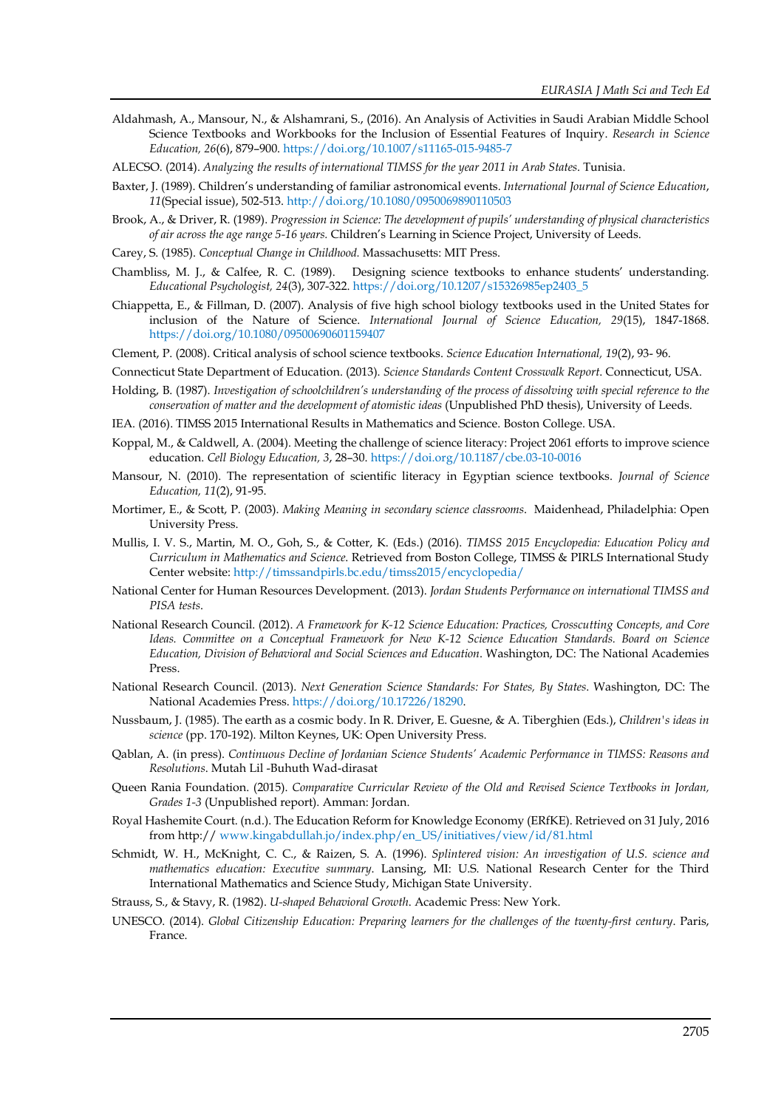- Aldahmash, A., Mansour, N., & Alshamrani, S., (2016). An Analysis of Activities in Saudi Arabian Middle School Science Textbooks and Workbooks for the Inclusion of Essential Features of Inquiry. *Research in Science Education, 26*(6), 879–900.<https://doi.org/10.1007/s11165-015-9485-7>
- ALECSO. (2014). *Analyzing the results of international TIMSS for the year 2011 in Arab States*. Tunisia.
- Baxter, J. (1989). Children's understanding of familiar astronomical events. *International Journal of Science Education*, *11*(Special issue), 502-513.<http://doi.org/10.1080/0950069890110503>
- Brook, A., & Driver, R. (1989). *Progression in Science: The development of pupils' understanding of physical characteristics of air across the age range 5-16 years.* Children's Learning in Science Project, University of Leeds.
- Carey, S. (1985). *Conceptual Change in Childhood.* Massachusetts: MIT Press.
- Chambliss, M. J., & Calfee, R. C. (1989). Designing science textbooks to enhance students' understanding. *Educational Psychologist, 24*(3), 307-322. [https://doi.org/10.1207/s15326985ep2403\\_5](https://doi.org/10.1207/s15326985ep2403_5)
- Chiappetta, E., & Fillman, D. (2007). Analysis of five high school biology textbooks used in the United States for inclusion of the Nature of Science. *International Journal of Science Education, 29*(15), 1847-1868. <https://doi.org/10.1080/09500690601159407>
- Clement, P. (2008). Critical analysis of school science textbooks. *Science Education International, 19*(2), 93- 96.
- Connecticut State Department of Education. (2013). *Science Standards Content Crosswalk Report*. Connecticut, USA.
- Holding, B. (1987). *Investigation of schoolchildren's understanding of the process of dissolving with special reference to the conservation of matter and the development of atomistic ideas* (Unpublished PhD thesis), University of Leeds.
- IEA. (2016). TIMSS 2015 International Results in Mathematics and Science. Boston College. USA.
- Koppal, M., & Caldwell, A. (2004). Meeting the challenge of science literacy: Project 2061 efforts to improve science education. *Cell Biology Education, 3*, 28–30[. https://doi.org/10.1187/cbe.03-10-0016](https://doi.org/10.1187/cbe.03-10-0016)
- Mansour, N. (2010). The representation of scientific literacy in Egyptian science textbooks. *Journal of Science Education, 11*(2), 91-95.
- Mortimer, E., & Scott, P. (2003). *Making Meaning in secondary science classrooms*. Maidenhead, Philadelphia: Open University Press.
- Mullis, I. V. S., Martin, M. O., Goh, S., & Cotter, K. (Eds.) (2016). *TIMSS 2015 Encyclopedia: Education Policy and Curriculum in Mathematics and Science*. Retrieved from Boston College, TIMSS & PIRLS International Study Center website[: http://timssandpirls.bc.edu/timss2015/encyclopedia/](http://timssandpirls.bc.edu/timss2015/encyclopedia/)
- National Center for Human Resources Development. (2013). *Jordan Students Performance on international TIMSS and PISA tests*.
- National Research Council. (2012). *A Framework for K-12 Science Education: Practices, Crosscutting Concepts, and Core Ideas. Committee on a Conceptual Framework for New K-12 Science Education Standards. Board on Science Education, Division of Behavioral and Social Sciences and Education*. Washington, DC: The National Academies Press.
- National Research Council. (2013). *Next Generation Science Standards: For States, By States*. Washington, DC: The National Academies Press. [https://doi.org/10.17226/18290.](https://doi.org/10.17226/18290)
- Nussbaum, J. (1985). The earth as a cosmic body. In R. Driver, E. Guesne, & A. Tiberghien (Eds.), *Children's ideas in science* (pp. 170-192). Milton Keynes, UK: Open University Press.
- Qablan, A. (in press). *Continuous Decline of Jordanian Science Students' Academic Performance in TIMSS: Reasons and Resolutions*. Mutah Lil -Buhuth Wad-dirasat
- Queen Rania Foundation. (2015). *Comparative Curricular Review of the Old and Revised Science Textbooks in Jordan, Grades 1-3* (Unpublished report). Amman: Jordan.
- Royal Hashemite Court. (n.d.). The Education Reform for Knowledge Economy (ERfKE). Retrieved on 31 July, 2016 from http:// [www.kingabdullah.jo/index.php/en\\_US/initiatives/view/id/81.html](http://www.kingabdullah.jo/index.php/en_US/initiatives/view/id/81.html)
- Schmidt, W. H., McKnight, C. C., & Raizen, S. A. (1996). *Splintered vision: An investigation of U.S. science and mathematics education: Executive summary*. Lansing, MI: U.S. National Research Center for the Third International Mathematics and Science Study, Michigan State University.
- Strauss, S., & Stavy, R. (1982). *U-shaped Behavioral Growth*. Academic Press: New York.
- UNESCO. (2014). *Global Citizenship Education: Preparing learners for the challenges of the twenty-first century*. Paris, France.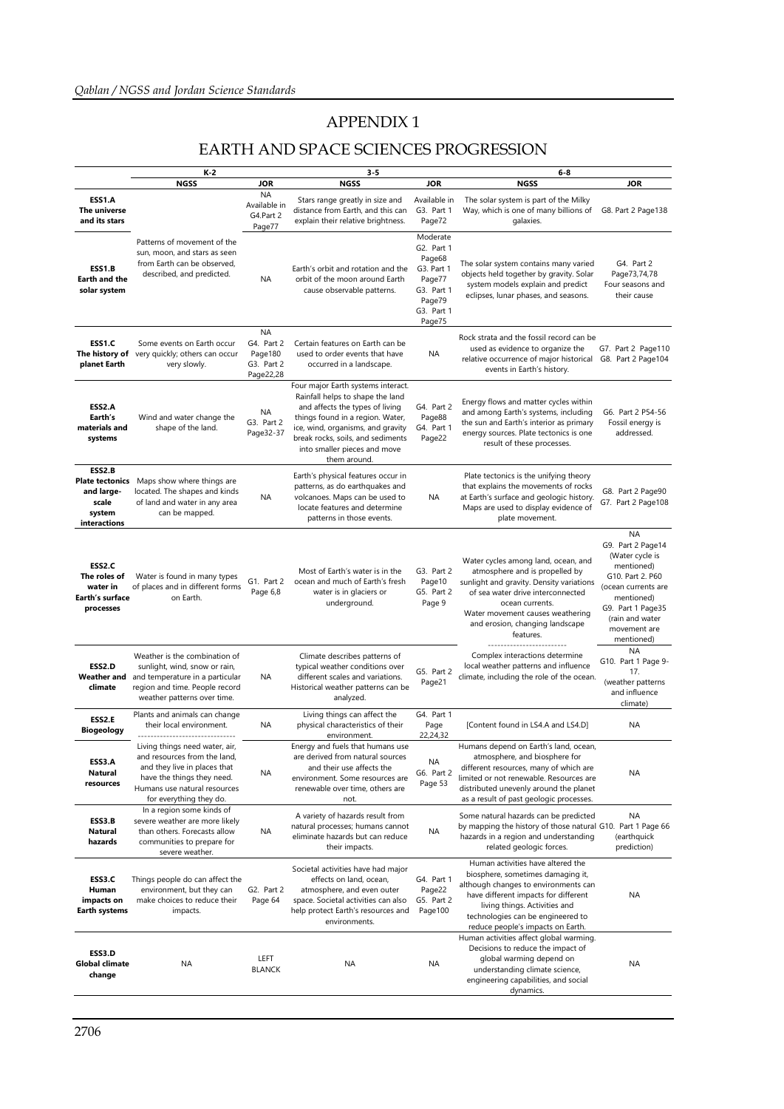# APPENDIX 1

# EARTH AND SPACE SCIENCES PROGRESSION

|                                                                                   | K-2                                                                                                                                                                                     |                                                               | 3-5                                                                                                                                                                                                                                                                     |                                                                                                          | 6-8                                                                                                                                                                                                                                                                                         |                                                                                                                                                                                         |
|-----------------------------------------------------------------------------------|-----------------------------------------------------------------------------------------------------------------------------------------------------------------------------------------|---------------------------------------------------------------|-------------------------------------------------------------------------------------------------------------------------------------------------------------------------------------------------------------------------------------------------------------------------|----------------------------------------------------------------------------------------------------------|---------------------------------------------------------------------------------------------------------------------------------------------------------------------------------------------------------------------------------------------------------------------------------------------|-----------------------------------------------------------------------------------------------------------------------------------------------------------------------------------------|
|                                                                                   | <b>NGSS</b>                                                                                                                                                                             | <b>JOR</b>                                                    | <b>NGSS</b>                                                                                                                                                                                                                                                             | <b>JOR</b>                                                                                               | <b>NGSS</b>                                                                                                                                                                                                                                                                                 | <b>JOR</b>                                                                                                                                                                              |
| <b>ESS1.A</b><br>The universe<br>and its stars                                    |                                                                                                                                                                                         | NA<br>Available in<br>G4.Part 2<br>Page77                     | Stars range greatly in size and<br>distance from Earth, and this can<br>explain their relative brightness.                                                                                                                                                              | Available in<br>G3. Part 1<br>Page72                                                                     | The solar system is part of the Milky<br>Way, which is one of many billions of<br>galaxies.                                                                                                                                                                                                 | G8. Part 2 Page138                                                                                                                                                                      |
| <b>ESS1.B</b><br>Earth and the<br>solar system                                    | Patterns of movement of the<br>sun, moon, and stars as seen<br>from Earth can be observed,<br>described, and predicted.                                                                 | NA                                                            | Earth's orbit and rotation and the<br>orbit of the moon around Earth<br>cause observable patterns.                                                                                                                                                                      | Moderate<br>G2. Part 1<br>Page68<br>G3. Part 1<br>Page77<br>G3. Part 1<br>Page79<br>G3. Part 1<br>Page75 | The solar system contains many varied<br>objects held together by gravity. Solar<br>system models explain and predict<br>eclipses, lunar phases, and seasons.                                                                                                                               | G4. Part 2<br>Page73,74,78<br>Four seasons and<br>their cause                                                                                                                           |
| ESS1.C<br>planet Earth                                                            | Some events on Earth occur<br>The history of very quickly; others can occur<br>very slowly.                                                                                             | <b>NA</b><br>G4. Part 2<br>Page180<br>G3. Part 2<br>Page22,28 | Certain features on Earth can be<br>used to order events that have<br>occurred in a landscape.                                                                                                                                                                          | NA                                                                                                       | Rock strata and the fossil record can be<br>used as evidence to organize the<br>relative occurrence of major historical G8. Part 2 Page104<br>events in Earth's history.                                                                                                                    | G7. Part 2 Page110                                                                                                                                                                      |
| ESS2.A<br>Earth's<br>materials and<br>systems                                     | Wind and water change the<br>shape of the land.                                                                                                                                         | NA<br>G3. Part 2<br>Page32-37                                 | Four major Earth systems interact.<br>Rainfall helps to shape the land<br>and affects the types of living<br>things found in a region. Water,<br>ice, wind, organisms, and gravity<br>break rocks, soils, and sediments<br>into smaller pieces and move<br>them around. | G4. Part 2<br>Page88<br>G4. Part 1<br>Page22                                                             | Energy flows and matter cycles within<br>and among Earth's systems, including<br>the sun and Earth's interior as primary<br>energy sources. Plate tectonics is one<br>result of these processes.                                                                                            | G6. Part 2 P54-56<br>Fossil energy is<br>addressed.                                                                                                                                     |
| ESS2.B<br><b>Plate tectonics</b><br>and large-<br>scale<br>system<br>interactions | Maps show where things are<br>located. The shapes and kinds<br>of land and water in any area<br>can be mapped.                                                                          | NA                                                            | Earth's physical features occur in<br>patterns, as do earthquakes and<br>volcanoes. Maps can be used to<br>locate features and determine<br>patterns in those events.                                                                                                   | NA                                                                                                       | Plate tectonics is the unifying theory<br>that explains the movements of rocks<br>at Earth's surface and geologic history.<br>Maps are used to display evidence of<br>plate movement.                                                                                                       | G8. Part 2 Page90<br>G7. Part 2 Page108                                                                                                                                                 |
| ESS2.C<br>The roles of<br>water in<br>Earth's surface<br>processes                | Water is found in many types<br>of places and in different forms<br>on Earth.                                                                                                           | G1. Part 2<br>Page 6,8                                        | Most of Earth's water is in the<br>ocean and much of Earth's fresh<br>water is in glaciers or<br>underground.                                                                                                                                                           | G3. Part 2<br>Page10<br>G5. Part 2<br>Page 9                                                             | Water cycles among land, ocean, and<br>atmosphere and is propelled by<br>sunlight and gravity. Density variations<br>of sea water drive interconnected<br>ocean currents.<br>Water movement causes weathering<br>and erosion, changing landscape<br>features.<br>-------------------------- | NA<br>G9. Part 2 Page14<br>(Water cycle is<br>mentioned)<br>G10. Part 2. P60<br>(ocean currents are<br>mentioned)<br>G9. Part 1 Page35<br>(rain and water<br>movement are<br>mentioned) |
| ESS2.D<br><b>Weather and</b><br>climate                                           | Weather is the combination of<br>sunlight, wind, snow or rain,<br>and temperature in a particular<br>region and time. People record<br>weather patterns over time.                      | NA                                                            | Climate describes patterns of<br>typical weather conditions over<br>different scales and variations.<br>Historical weather patterns can be<br>analyzed.                                                                                                                 | G5. Part 2<br>Page21                                                                                     | Complex interactions determine<br>local weather patterns and influence<br>climate, including the role of the ocean.                                                                                                                                                                         | <b>NA</b><br>G10. Part 1 Page 9-<br>17.<br>(weather patterns<br>and influence<br>climate)                                                                                               |
| <b>ESS2.E</b><br><b>Biogeology</b>                                                | Plants and animals can change<br>their local environment.                                                                                                                               | NA                                                            | Living things can affect the<br>physical characteristics of their<br>environment.                                                                                                                                                                                       | G4. Part 1<br>Page<br>22,24,32                                                                           | [Content found in LS4.A and LS4.D]                                                                                                                                                                                                                                                          | NA                                                                                                                                                                                      |
| ESS3.A<br>Natural<br>resources                                                    | Living things need water, air,<br>and resources from the land,<br>and they live in places that<br>have the things they need.<br>Humans use natural resources<br>for everything they do. | NA                                                            | Energy and fuels that humans use<br>are derived from natural sources<br>and their use affects the<br>environment. Some resources are<br>renewable over time, others are<br>not.                                                                                         | <b>NA</b><br>G6. Part 2<br>Page 53                                                                       | Humans depend on Earth's land, ocean,<br>atmosphere, and biosphere for<br>different resources, many of which are<br>limited or not renewable. Resources are<br>distributed unevenly around the planet<br>as a result of past geologic processes.                                            | <b>NA</b>                                                                                                                                                                               |
| ESS3.B<br>Natural<br>hazards                                                      | In a region some kinds of<br>severe weather are more likely<br>than others. Forecasts allow<br>communities to prepare for<br>severe weather.                                            | NA                                                            | A variety of hazards result from<br>natural processes; humans cannot<br>eliminate hazards but can reduce<br>their impacts.                                                                                                                                              | NA                                                                                                       | Some natural hazards can be predicted<br>by mapping the history of those natural G10. Part 1 Page 66<br>hazards in a region and understanding<br>related geologic forces.                                                                                                                   | NA<br>(earthquick<br>prediction)                                                                                                                                                        |
| ESS3.C<br>Human<br>impacts on<br>Earth systems                                    | Things people do can affect the<br>environment, but they can<br>make choices to reduce their<br>impacts.                                                                                | G2. Part 2<br>Page 64                                         | Societal activities have had major<br>effects on land, ocean,<br>atmosphere, and even outer<br>space. Societal activities can also<br>help protect Earth's resources and<br>environments.                                                                               | G4. Part 1<br>Page22<br>G5. Part 2<br>Page100                                                            | Human activities have altered the<br>biosphere, sometimes damaging it,<br>although changes to environments can<br>have different impacts for different<br>living things. Activities and<br>technologies can be engineered to<br>reduce people's impacts on Earth.                           | <b>NA</b>                                                                                                                                                                               |
| ESS3.D<br><b>Global climate</b><br>change                                         | <b>NA</b>                                                                                                                                                                               | LEFT<br><b>BLANCK</b>                                         | NA                                                                                                                                                                                                                                                                      | NA                                                                                                       | Human activities affect global warming.<br>Decisions to reduce the impact of<br>global warming depend on<br>understanding climate science,<br>engineering capabilities, and social<br>dynamics.                                                                                             | <b>NA</b>                                                                                                                                                                               |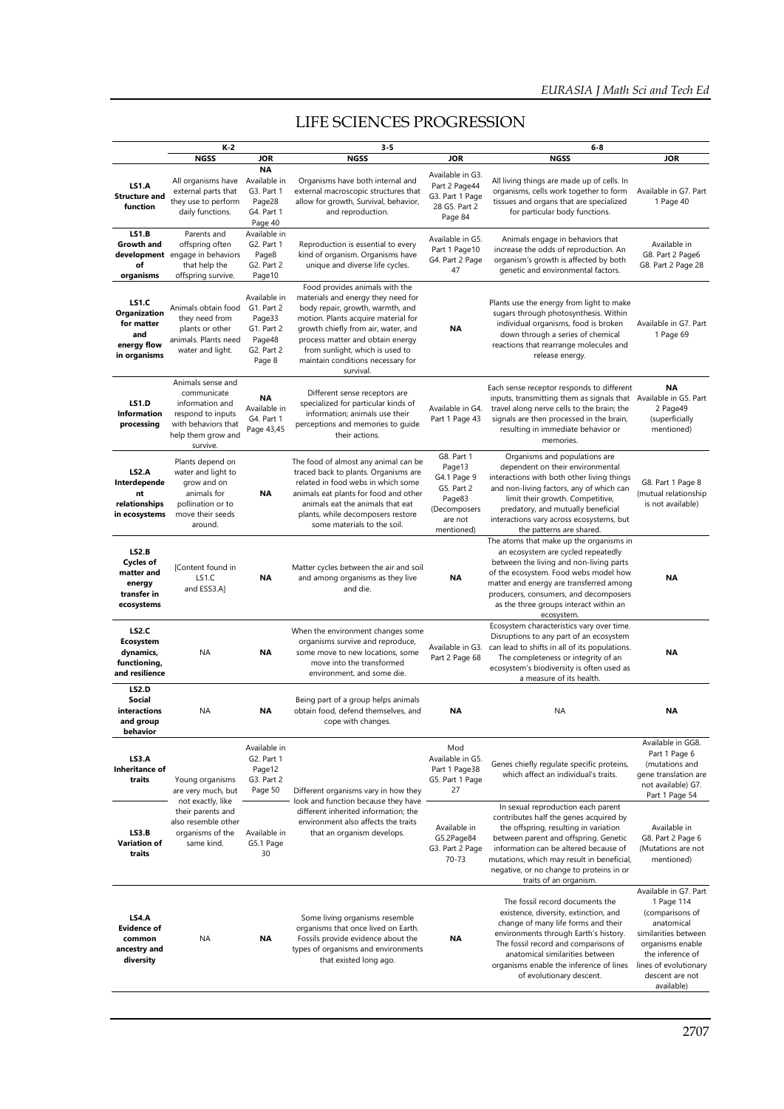# LIFE SCIENCES PROGRESSION

|                                                                                                                            | $K-2$                                                                                                                             |                                                                                                           | $3 - 5$                                                                                                                                                                                                                                                                                                         |                                                                                                                                                                                                                                                                                                                             | $6 - 8$                                                                                                                                                                                                                                                                                                       |                                                                                                                                                                                                |  |
|----------------------------------------------------------------------------------------------------------------------------|-----------------------------------------------------------------------------------------------------------------------------------|-----------------------------------------------------------------------------------------------------------|-----------------------------------------------------------------------------------------------------------------------------------------------------------------------------------------------------------------------------------------------------------------------------------------------------------------|-----------------------------------------------------------------------------------------------------------------------------------------------------------------------------------------------------------------------------------------------------------------------------------------------------------------------------|---------------------------------------------------------------------------------------------------------------------------------------------------------------------------------------------------------------------------------------------------------------------------------------------------------------|------------------------------------------------------------------------------------------------------------------------------------------------------------------------------------------------|--|
|                                                                                                                            | <b>NGSS</b>                                                                                                                       | <b>JOR</b>                                                                                                | <b>NGSS</b>                                                                                                                                                                                                                                                                                                     | <b>JOR</b>                                                                                                                                                                                                                                                                                                                  | <b>NGSS</b>                                                                                                                                                                                                                                                                                                   | <b>JOR</b>                                                                                                                                                                                     |  |
| <b>LS1.A</b><br><b>Structure and</b><br>function                                                                           | All organisms have<br>external parts that<br>they use to perform<br>daily functions.                                              | <b>NA</b><br>Available in<br>G3. Part 1<br>Page28<br>G4. Part 1<br>Page 40                                | Organisms have both internal and<br>external macroscopic structures that<br>allow for growth, Survival, behavior,<br>and reproduction.                                                                                                                                                                          | Available in G3.<br>Part 2 Page44<br>G3. Part 1 Page<br>28 G5. Part 2<br>Page 84                                                                                                                                                                                                                                            | All living things are made up of cells. In<br>organisms, cells work together to form<br>tissues and organs that are specialized<br>for particular body functions.                                                                                                                                             | Available in G7. Part<br>1 Page 40                                                                                                                                                             |  |
| LS1.B                                                                                                                      | Parents and                                                                                                                       | Available in                                                                                              |                                                                                                                                                                                                                                                                                                                 |                                                                                                                                                                                                                                                                                                                             |                                                                                                                                                                                                                                                                                                               |                                                                                                                                                                                                |  |
| Growth and<br>of<br>organisms                                                                                              | offspring often<br>development engage in behaviors<br>that help the<br>offspring survive.                                         | G2. Part 1<br>Page8<br>G2. Part 2<br>Page10                                                               | Reproduction is essential to every<br>kind of organism. Organisms have<br>unique and diverse life cycles.                                                                                                                                                                                                       | Available in G5.<br>Part 1 Page10<br>G4. Part 2 Page<br>47                                                                                                                                                                                                                                                                  | Animals engage in behaviors that<br>increase the odds of reproduction. An<br>organism's growth is affected by both<br>genetic and environmental factors.                                                                                                                                                      | Available in<br>G8. Part 2 Page6<br>G8. Part 2 Page 28                                                                                                                                         |  |
| LS1.C<br>Organization<br>for matter<br>and<br>energy flow<br>in organisms                                                  | Animals obtain food<br>they need from<br>plants or other<br>animals. Plants need<br>water and light.                              | Available in<br>G1. Part 2<br>Page33<br>G1. Part 2<br>Page48<br>G2. Part 2<br>Page 8                      | Food provides animals with the<br>materials and energy they need for<br>body repair, growth, warmth, and<br>motion. Plants acquire material for<br>growth chiefly from air, water, and<br>process matter and obtain energy<br>from sunlight, which is used to<br>maintain conditions necessary for<br>survival. | <b>NA</b>                                                                                                                                                                                                                                                                                                                   | Plants use the energy from light to make<br>sugars through photosynthesis. Within<br>individual organisms, food is broken<br>down through a series of chemical<br>reactions that rearrange molecules and<br>release energy.                                                                                   | Available in G7, Part<br>1 Page 69                                                                                                                                                             |  |
| <b>LS1.D</b><br>Information<br>processing                                                                                  | Animals sense and<br>communicate<br>information and<br>respond to inputs<br>with behaviors that<br>help them grow and<br>survive. | NA<br>Available in<br>G4. Part 1<br>Page 43,45                                                            | Different sense receptors are<br>specialized for particular kinds of<br>information; animals use their<br>perceptions and memories to quide<br>their actions.                                                                                                                                                   | Available in G4.<br>Part 1 Page 43                                                                                                                                                                                                                                                                                          | Each sense receptor responds to different<br>inputs, transmitting them as signals that Available in G5. Part<br>travel along nerve cells to the brain; the<br>signals are then processed in the brain,<br>resulting in immediate behavior or<br>memories.                                                     | <b>NA</b><br>2 Page49<br>(superficially<br>mentioned)                                                                                                                                          |  |
| <b>LS2.A</b><br>Interdepende<br>nt<br>relationships<br>in ecosystems                                                       | Plants depend on<br>water and light to<br>grow and on<br>animals for<br>pollination or to<br>move their seeds<br>around.          | <b>NA</b>                                                                                                 | The food of almost any animal can be<br>traced back to plants. Organisms are<br>related in food webs in which some<br>animals eat plants for food and other<br>animals eat the animals that eat<br>plants, while decomposers restore<br>some materials to the soil.                                             | G8. Part 1<br>Page13<br>G4.1 Page 9<br>G5. Part 2<br>Page83<br>(Decomposers<br>are not<br>mentioned)                                                                                                                                                                                                                        | Organisms and populations are<br>dependent on their environmental<br>interactions with both other living things<br>and non-living factors, any of which can<br>limit their growth. Competitive,<br>predatory, and mutually beneficial<br>interactions vary across ecosystems, but<br>the patterns are shared. | G8. Part 1 Page 8<br>(mutual relationship<br>is not available)                                                                                                                                 |  |
| LS2.B<br><b>Cycles of</b><br>matter and<br>energy<br>transfer in<br>ecosystems                                             | [Content found in<br>LS1.C<br>and ESS3.A]                                                                                         | <b>NA</b>                                                                                                 | Matter cycles between the air and soil<br>and among organisms as they live<br>and die.                                                                                                                                                                                                                          | <b>NA</b>                                                                                                                                                                                                                                                                                                                   | The atoms that make up the organisms in<br>an ecosystem are cycled repeatedly<br>between the living and non-living parts<br>of the ecosystem. Food webs model how<br>matter and energy are transferred among<br>producers, consumers, and decomposers<br>as the three groups interact within an<br>ecosystem. | ΝA                                                                                                                                                                                             |  |
| LS2.C<br><b>Ecosystem</b><br>dynamics,<br>functioning,<br>and resilience                                                   | <b>NA</b>                                                                                                                         | <b>NA</b>                                                                                                 | When the environment changes some<br>organisms survive and reproduce,<br>some move to new locations, some<br>move into the transformed<br>environment, and some die.                                                                                                                                            | Part 2 Page 68                                                                                                                                                                                                                                                                                                              | Ecosystem characteristics vary over time.<br>Disruptions to any part of an ecosystem<br>Available in G3. can lead to shifts in all of its populations.<br>The completeness or integrity of an<br>ecosystem's biodiversity is often used as<br>a measure of its health.                                        | <b>NA</b>                                                                                                                                                                                      |  |
| LS2.D<br><b>Social</b><br>interactions<br>and group<br>behavior                                                            | <b>NA</b>                                                                                                                         | <b>NA</b>                                                                                                 | Being part of a group helps animals<br>obtain food, defend themselves, and<br>cope with changes.                                                                                                                                                                                                                | <b>NA</b>                                                                                                                                                                                                                                                                                                                   | <b>NA</b>                                                                                                                                                                                                                                                                                                     | <b>NA</b>                                                                                                                                                                                      |  |
| <b>LS3.A</b><br>Inheritance of<br>traits                                                                                   | Young organisms<br>are very much, but<br>not exactly, like                                                                        | Available in<br>G2. Part 1<br>Page12<br>G3. Part 2<br>Page 50                                             | Different organisms vary in how they<br>look and function because they have                                                                                                                                                                                                                                     | Mod<br>Available in G5.<br>Part 1 Page38<br>G5. Part 1 Page<br>27                                                                                                                                                                                                                                                           | Genes chiefly regulate specific proteins,<br>which affect an individual's traits.                                                                                                                                                                                                                             | Available in GG8.<br>Part 1 Page 6<br>(mutations and<br>gene translation are<br>not available) G7.<br>Part 1 Page 54                                                                           |  |
| their parents and<br>also resemble other<br>LS3.B<br>organisms of the<br>same kind.<br><b>Variation of</b><br>traits<br>30 | Available in<br>G5.1 Page                                                                                                         | different inherited information; the<br>environment also affects the traits<br>that an organism develops. | Available in<br>G5.2Page84<br>G3. Part 2 Page<br>$70 - 73$                                                                                                                                                                                                                                                      | In sexual reproduction each parent<br>contributes half the genes acquired by<br>the offspring, resulting in variation<br>between parent and offspring. Genetic<br>information can be altered because of<br>mutations, which may result in beneficial,<br>negative, or no change to proteins in or<br>traits of an organism. | Available in<br>G8. Part 2 Page 6<br>(Mutations are not<br>mentioned)                                                                                                                                                                                                                                         |                                                                                                                                                                                                |  |
| <b>LS4.A</b><br><b>Evidence of</b><br>common<br>ancestry and<br>diversity                                                  | <b>NA</b>                                                                                                                         | NA                                                                                                        | Some living organisms resemble<br>organisms that once lived on Earth.<br>Fossils provide evidence about the<br>types of organisms and environments<br>that existed long ago.                                                                                                                                    | <b>NA</b>                                                                                                                                                                                                                                                                                                                   | The fossil record documents the<br>existence, diversity, extinction, and<br>change of many life forms and their<br>environments through Earth's history.<br>The fossil record and comparisons of<br>anatomical similarities between<br>organisms enable the inference of lines<br>of evolutionary descent.    | Available in G7. Part<br>1 Page 114<br>(comparisons of<br>anatomical<br>similarities between<br>organisms enable<br>the inference of<br>lines of evolutionary<br>descent are not<br>available) |  |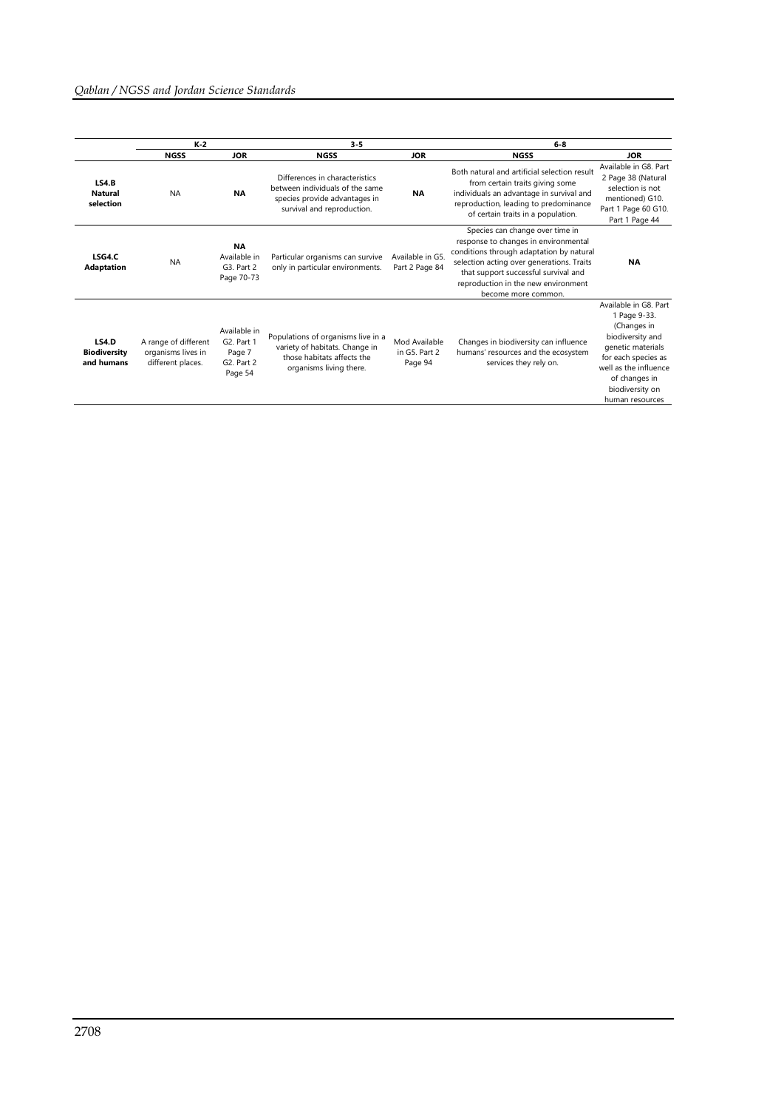|                                             | K-2                                                             |                                                                            | $3 - 5$                                                                                                                          |                                           | $6 - 8$                                                                                                                                                                                                                                                                |                                                                                                                                                                                                      |  |
|---------------------------------------------|-----------------------------------------------------------------|----------------------------------------------------------------------------|----------------------------------------------------------------------------------------------------------------------------------|-------------------------------------------|------------------------------------------------------------------------------------------------------------------------------------------------------------------------------------------------------------------------------------------------------------------------|------------------------------------------------------------------------------------------------------------------------------------------------------------------------------------------------------|--|
|                                             | <b>NGSS</b>                                                     | <b>JOR</b>                                                                 | <b>NGSS</b>                                                                                                                      | <b>JOR</b>                                | <b>NGSS</b>                                                                                                                                                                                                                                                            | <b>JOR</b>                                                                                                                                                                                           |  |
| <b>LS4.B</b><br><b>Natural</b><br>selection | <b>NA</b>                                                       | <b>NA</b>                                                                  | Differences in characteristics<br>between individuals of the same<br>species provide advantages in<br>survival and reproduction. | <b>NA</b>                                 | Both natural and artificial selection result<br>from certain traits giving some<br>individuals an advantage in survival and<br>reproduction, leading to predominance<br>of certain traits in a population.                                                             | Available in G8. Part<br>2 Page 38 (Natural<br>selection is not<br>mentioned) G10.<br>Part 1 Page 60 G10.<br>Part 1 Page 44                                                                          |  |
| LSG4.C<br><b>Adaptation</b>                 | <b>NA</b>                                                       | <b>NA</b><br>Available in<br>G3. Part 2<br>Page 70-73                      | Particular organisms can survive<br>only in particular environments.                                                             | Available in G5.<br>Part 2 Page 84        | Species can change over time in<br>response to changes in environmental<br>conditions through adaptation by natural<br>selection acting over generations. Traits<br>that support successful survival and<br>reproduction in the new environment<br>become more common. | <b>NA</b>                                                                                                                                                                                            |  |
| LS4.D<br><b>Biodiversity</b><br>and humans  | A range of different<br>organisms lives in<br>different places. | Available in<br>G <sub>2</sub> . Part 1<br>Page 7<br>G2. Part 2<br>Page 54 | Populations of organisms live in a<br>variety of habitats. Change in<br>those habitats affects the<br>organisms living there.    | Mod Available<br>in G5. Part 2<br>Page 94 | Changes in biodiversity can influence<br>humans' resources and the ecosystem<br>services they rely on.                                                                                                                                                                 | Available in G8. Part<br>1 Page 9-33.<br>(Changes in<br>biodiversity and<br>genetic materials<br>for each species as<br>well as the influence<br>of changes in<br>biodiversity on<br>human resources |  |